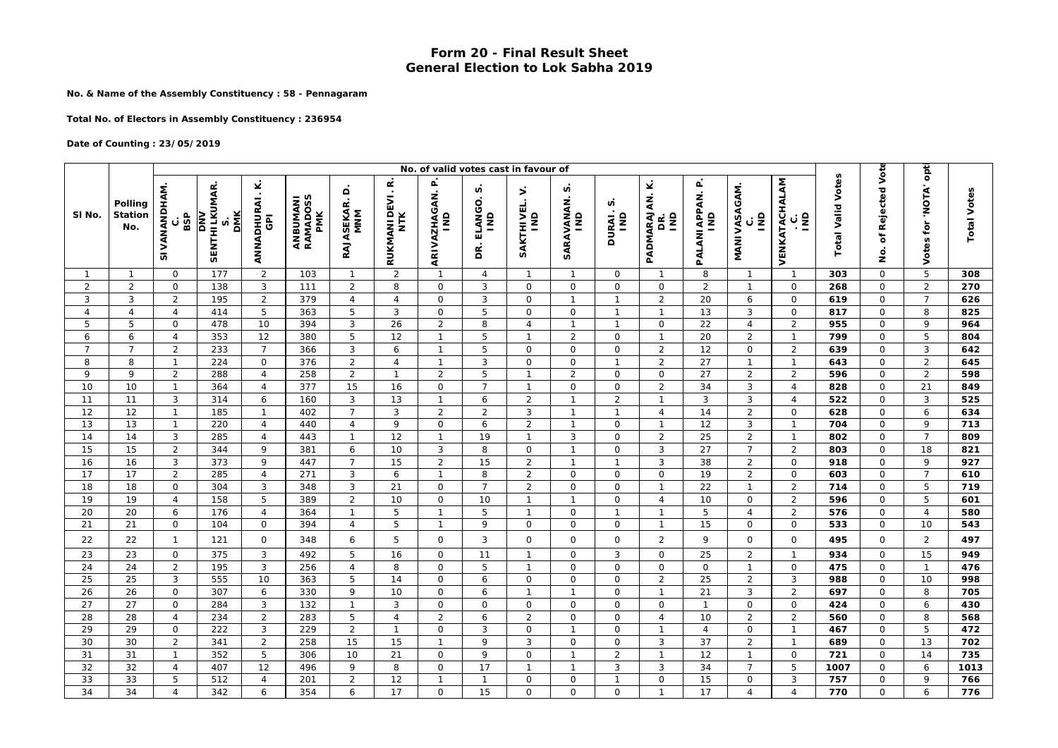## **Form 20 - Final Result Sheet General Election to Lok Sabha 2019**

**No. & Name of the Assembly Constituency : 58 - Pennagaram**

**Total No. of Electors in Assembly Constituency : 236954**

## **Date of Counting : 23/05/2019**

|                 |                           | No. of valid votes cast in favour of |                                                                |                                                     |                             |                               |                                               |                        |                                              |                                            |                       |                     |                                        |                                  |                                                |                                                |                          |                                   |                         |                    |
|-----------------|---------------------------|--------------------------------------|----------------------------------------------------------------|-----------------------------------------------------|-----------------------------|-------------------------------|-----------------------------------------------|------------------------|----------------------------------------------|--------------------------------------------|-----------------------|---------------------|----------------------------------------|----------------------------------|------------------------------------------------|------------------------------------------------|--------------------------|-----------------------------------|-------------------------|--------------------|
| SI No.          | Polling<br>Station<br>No. | <b>SIVANANDHAM</b><br>BSP<br>C       | <b>SENTHILKUMAR.</b><br><b>DMK</b><br>$\overline{\phantom{a}}$ | Ÿ<br>$\blacksquare$<br>ANNADHURAI<br>$\overline{6}$ | ANBUMANI<br>RAMADOSS<br>PMK | Δ<br>RAJASEKAR.<br><b>MNM</b> | $\pmb{\alpha}$<br>RUKMANI DEVI.<br><b>NTK</b> | ARI VAZHAGAN. P<br>IND | n<br>ELANGO.<br>$\overline{\mathsf{s}}$<br>g | ⇒<br>SAKTHIVEL.<br>$\overline{\mathsf{s}}$ | n<br>SARAVANAN.<br>ÎМ | n<br>DURAI.<br>IND  | ¥<br>PADMARAJAN.<br>$\frac{1}{2}$<br>g | PALANI APPAN. P<br>$\frac{1}{2}$ | <b>MANIVASAGAM.</b><br>$\overline{\mathsf{s}}$ | VENKATACHALAM<br>$\mathsf{\underline{2}}$<br>ن | <b>Total Valid Votes</b> | of Rejected Vote<br><u>o</u><br>2 | 'NOTA' opt<br>Votes for | <b>Total Votes</b> |
| $\mathbf{1}$    | $\mathbf{1}$              | 0                                    | 177                                                            | $\overline{2}$                                      | 103                         | $\mathbf{1}$                  | 2                                             | $\overline{1}$         | $\overline{4}$                               | $\overline{1}$                             | $\mathbf{1}$          | 0                   |                                        | 8                                | $\mathbf{1}$                                   | $\mathbf{1}$                                   | 303                      | $\Omega$                          | 5                       | 308                |
| $\overline{2}$  | 2                         | $\mathsf O$                          | 138                                                            | $\mathbf{3}$                                        | 111                         | 2                             | 8                                             | $\mathsf O$            | 3                                            | $\circ$                                    | 0                     | $\mathbf 0$         | $\mathsf O$                            | $\overline{2}$                   | $\mathbf{1}$                                   | $\mathbf 0$                                    | 268                      | $\mathbf 0$                       | $\overline{2}$          | 270                |
| 3               | 3                         | $\overline{2}$                       | 195                                                            | $\overline{c}$                                      | 379                         | $\overline{4}$                | $\overline{4}$                                | $\mathsf O$            | 3                                            | $\circ$                                    | $\mathbf{1}$          | $\mathbf{1}$        | $\overline{2}$                         | 20                               | 6                                              | $\mathbf 0$                                    | 619                      | $\mathbf 0$                       | $\overline{7}$          | 626                |
| $\overline{4}$  | $\overline{4}$            | $\overline{4}$                       | 414                                                            | 5                                                   | 363                         | 5                             | 3                                             | $\mathbf 0$            | 5                                            | $\mathsf{O}$                               | 0                     | $\mathbf{1}$        | $\mathbf{1}$                           | 13                               | 3                                              | $\mathbf 0$                                    | 817                      | $\mathbf 0$                       | 8                       | 825                |
| 5               | 5                         | $\circ$                              | 478                                                            | 10                                                  | 394                         | 3                             | 26                                            | $\overline{2}$         | 8                                            | $\overline{4}$                             | $\mathbf{1}$          | $\mathbf{1}$        | $\mathsf{O}$                           | 22                               | $\overline{4}$                                 | 2                                              | 955                      | $\mathbf 0$                       | 9                       | 964                |
| 6               | 6                         | $\overline{4}$                       | 353                                                            | 12                                                  | 380                         | 5                             | 12                                            | $\mathbf{1}$           | 5                                            | $\mathbf{1}$                               | $\overline{2}$        | $\circ$             | $\mathbf{1}$                           | 20                               | $\overline{2}$                                 | $\overline{1}$                                 | 799                      | $\mathbf 0$                       | 5                       | 804                |
| $\overline{7}$  | $\overline{7}$            | $\overline{2}$                       | 233                                                            | $\overline{7}$                                      | 366                         | 3                             | 6                                             | $\mathbf{1}$           | 5                                            | $\mathbf 0$                                | 0                     | $\mathbf 0$         | $\overline{2}$                         | 12                               | $\mathbf 0$                                    | 2                                              | 639                      | 0                                 | 3                       | 642                |
| 8               | 8                         | $\mathbf{1}$                         | 224                                                            | $\mathsf O$                                         | 376                         | $\overline{2}$                | $\overline{4}$                                | $\mathbf{1}$           | 3                                            | $\circ$                                    | $\circ$               | $\overline{1}$      | $\sqrt{2}$                             | 27                               | $\overline{1}$                                 | $\overline{1}$                                 | 643                      | $\mathsf O$                       | $\overline{2}$          | 645                |
| 9               | 9                         | $\overline{2}$                       | 288                                                            | $\overline{4}$                                      | 258                         | $\overline{2}$                | $\mathbf{1}$                                  | $\overline{2}$         | 5                                            | $\overline{1}$                             | $\overline{2}$        | $\circ$             | $\mathsf{O}$                           | 27                               | 2                                              | $\overline{2}$                                 | 596                      | $\mathbf 0$                       | $\overline{2}$          | 598                |
| 10              | 10                        | $\mathbf{1}$                         | 364                                                            | $\overline{4}$                                      | 377                         | 15                            | 16                                            | $\overline{O}$         | $\overline{7}$                               | $\overline{1}$                             | 0                     | $\circ$             | $\overline{2}$                         | 34                               | 3                                              | $\overline{4}$                                 | 828                      | $\mathbf 0$                       | 21                      | 849                |
| 11              | 11                        | 3                                    | 314                                                            | 6                                                   | 160                         | 3                             | 13                                            | $\mathbf{1}$           | 6                                            | $\overline{2}$                             | $\mathbf{1}$          | $\overline{2}$      | $\mathbf{1}$                           | 3                                | $\mathbf{3}$                                   | $\overline{4}$                                 | 522                      | $\mathsf{O}\xspace$               | 3                       | 525                |
| 12              | 12                        | $\mathbf{1}$                         | 185                                                            | $\mathbf{1}$                                        | 402                         | $\overline{7}$                | 3                                             | $\overline{2}$         | $\overline{2}$                               | 3                                          | $\mathbf{1}$          | $\mathbf{1}$        | $\overline{4}$                         | 14                               | $\overline{2}$                                 | $\mathbf 0$                                    | 628                      | $\mathbf 0$                       | 6                       | 634                |
| 13              | 13                        | $\mathbf{1}$                         | 220                                                            | $\overline{4}$                                      | 440                         | $\overline{4}$                | 9                                             | $\mathsf O$            | 6                                            | $\overline{2}$                             | $\mathbf{1}$          | $\mathbf 0$         | $\mathbf{1}$                           | 12                               | $\mathbf{3}$                                   | $\overline{1}$                                 | 704                      | $\mathsf O$                       | 9                       | 713                |
| 14              | 14                        | 3                                    | 285                                                            | $\overline{4}$                                      | 443                         | $\mathbf{1}$                  | 12                                            | $\overline{1}$         | 19                                           | $\overline{1}$                             | 3                     | $\circ$             | $\sqrt{2}$                             | 25                               | $\overline{2}$                                 | $\overline{1}$                                 | 802                      | $\mathbf 0$                       | $\overline{7}$          | 809                |
| 15              | 15                        | $\overline{2}$                       | 344                                                            | 9                                                   | 381                         | 6                             | 10                                            | 3                      | 8                                            | $\mathsf{O}\xspace$                        | $\mathbf{1}$          | $\mathbf 0$         | $\mathbf{3}$                           | 27                               | $\overline{7}$                                 | 2                                              | 803                      | $\mathsf{O}\xspace$               | 18                      | 821                |
| 16              | 16                        | $\mathbf{3}$                         | 373                                                            | 9                                                   | 447                         | $\overline{7}$                | 15                                            | $\overline{2}$         | 15                                           | $\overline{2}$                             | $\mathbf{1}$          | $\mathbf{1}$        | $\mathbf{3}$                           | 38                               | $\overline{2}$                                 | $\mathsf O$                                    | 918                      | $\mathbf 0$                       | 9                       | 927                |
| 17              | 17                        | $\overline{2}$                       | 285                                                            | $\overline{a}$                                      | 271                         | 3                             | 6                                             | $\overline{1}$         | 8                                            | $\overline{2}$                             | 0                     | $\mathsf O$         | $\mathsf{O}\xspace$                    | 19                               | $\overline{2}$                                 | $\mathbf 0$                                    | 603                      | 0                                 | $\overline{7}$          | 610                |
| $\overline{18}$ | 18                        | $\mathsf{O}$                         | 304                                                            | $\mathbf{3}$                                        | 348                         | $\mathbf{3}$                  | 21                                            | $\mathsf O$            | $\overline{7}$                               | $\overline{2}$                             | 0                     | $\mathbf 0$         | $\mathbf{1}$                           | $\overline{22}$                  | $\overline{1}$                                 | $\overline{2}$                                 | 714                      | $\mathbf 0$                       | 5                       | 719                |
| 19              | 19                        | $\overline{4}$                       | 158                                                            | 5                                                   | 389                         | 2                             | 10                                            | $\mathsf{O}$           | 10                                           | $\mathbf{1}$                               | $\mathbf{1}$          | $\mathbf 0$         | $\overline{4}$                         | 10                               | $\mathbf 0$                                    | $\overline{2}$                                 | 596                      | $\mathbf 0$                       | 5                       | 601                |
| 20              | 20                        | 6                                    | 176                                                            | $\overline{4}$                                      | 364                         | $\mathbf{1}$                  | 5                                             | $\mathbf{1}$           | 5                                            | $\mathbf{1}$                               | $\Omega$              | $\mathbf{1}$        | $\mathbf{1}$                           | 5                                | $\overline{4}$                                 | $\overline{2}$                                 | 576                      | $\mathbf 0$                       | $\overline{A}$          | 580                |
| 21              | 21                        | 0                                    | 104                                                            | $\mathsf{O}\xspace$                                 | 394                         | 4                             | 5                                             | $\mathbf{1}$           | 9                                            | $\circ$                                    | 0                     | $\mathsf O$         | $\mathbf{1}$                           | 15                               | $\mathbf 0$                                    | $\mathbf 0$                                    | 533                      | 0                                 | 10                      | 543                |
| 22              | 22                        | $\mathbf{1}$                         | 121                                                            | $\mathsf{O}\xspace$                                 | 348                         | 6                             | 5                                             | $\mathsf O$            | 3                                            | 0                                          | 0                     | $\mathsf{O}\xspace$ | $\overline{2}$                         | 9                                | $\mathsf 0$                                    | $\mathbf 0$                                    | 495                      | $\mathsf O$                       | $\overline{c}$          | 497                |
| 23              | 23                        | $\mathsf{O}$                         | 375                                                            | 3                                                   | 492                         | 5                             | 16                                            | $\mathsf{O}$           | 11                                           | $\overline{1}$                             | 0                     | 3                   | $\mathsf{O}$                           | 25                               | $\overline{2}$                                 | $\overline{1}$                                 | 934                      | $\mathsf{O}\xspace$               | 15                      | 949                |
| 24              | 24                        | $\overline{2}$                       | 195                                                            | $\mathbf{3}$                                        | 256                         | $\overline{4}$                | 8                                             | $\mathsf O$            | 5                                            | $\overline{1}$                             | 0                     | $\mathsf O$         | $\mathsf{O}\xspace$                    | $\mathbf 0$                      | $\mathbf{1}$                                   | $\mathsf{O}$                                   | 475                      | 0                                 | $\mathbf{1}$            | 476                |
| 25              | 25                        | 3                                    | 555                                                            | 10                                                  | 363                         | 5                             | 14                                            | $\mathsf{O}$           | 6                                            | $\mathsf{O}\xspace$                        | 0                     | $\mathsf O$         | $\overline{2}$                         | 25                               | 2                                              | 3                                              | 988                      | $\mathsf{O}\xspace$               | 10                      | 998                |
| 26              | 26                        | $\mathsf{O}$                         | 307                                                            | 6                                                   | 330                         | 9                             | 10                                            | $\mathbf 0$            | 6                                            | $\overline{1}$                             | $\mathbf{1}$          | $\mathsf O$         | $\mathbf{1}$                           | 21                               | 3                                              | $\overline{2}$                                 | 697                      | $\mathsf O$                       | 8                       | 705                |
| 27              | 27                        | $\mathsf{O}$                         | 284                                                            | $\mathbf{3}$                                        | 132                         | $\mathbf{1}$                  | 3                                             | $\mathsf O$            | $\mathsf{O}$                                 | 0                                          | 0                     | $\circ$             | $\mathsf{O}$                           | $\mathbf{1}$                     | $\mathsf 0$                                    | $\mathsf O$                                    | 424                      | $\mathbf 0$                       | 6                       | 430                |
| 28              | 28                        | $\overline{4}$                       | 234                                                            | $\overline{2}$                                      | 283                         | 5                             | $\overline{4}$                                | $\overline{2}$         | 6                                            | $\overline{2}$                             | 0                     | $\circ$             | $\overline{4}$                         | 10                               | $\overline{2}$                                 | $\overline{2}$                                 | 560                      | $\mathbf 0$                       | 8                       | 568                |
| 29              | 29                        | $\mathbf 0$                          | 222                                                            | $\mathbf{3}$                                        | 229                         | $\overline{2}$                | $\mathbf{1}$                                  | $\mathbf 0$            | 3                                            | 0                                          | $\mathbf{1}$          | $\mathbf 0$         | $\mathbf{1}$                           | $\overline{4}$                   | $\mathsf{O}\xspace$                            | $\mathbf{1}$                                   | 467                      | $\mathbf 0$                       | 5                       | 472                |
| 30              | 30                        | $\overline{2}$                       | 341                                                            | $\overline{2}$                                      | 258                         | 15                            | 15                                            | $\overline{1}$         | 9                                            | 3                                          | $\mathbf{O}$          | $\circ$             | $\sqrt{3}$                             | 37                               | $\overline{2}$                                 | $\mathbf{1}$                                   | 689                      | $\mathbf 0$                       | 13                      | 702                |
| 31              | 31                        | $\mathbf{1}$                         | 352                                                            | 5                                                   | 306                         | 10                            | 21                                            | $\mathsf O$            | 9                                            | $\circ$                                    | $\mathbf{1}$          | $\overline{2}$      | $\mathbf{1}$                           | 12                               | $\mathbf{1}$                                   | $\mathsf{O}$                                   | 721                      | $\mathsf{O}$                      | 14                      | 735                |
| 32              | 32                        | $\overline{4}$                       | 407                                                            | 12                                                  | 496                         | 9                             | 8                                             | $\mathsf{O}$           | 17                                           | $\mathbf{1}$                               | $\mathbf{1}$          | 3                   | 3                                      | 34                               | $\overline{7}$                                 | 5                                              | 1007                     | $\Omega$                          | 6                       | 1013               |
| 33              | 33                        | 5                                    | 512                                                            | $\overline{4}$                                      | 201                         | 2                             | 12                                            | $\mathbf{1}$           | $\mathbf{1}$                                 | $\mathsf{O}$                               | 0                     | $\mathbf{1}$        | $\mathsf O$                            | 15                               | $\mathbf 0$                                    | 3                                              | 757                      | $\mathbf 0$                       | 9                       | 766                |
| 34              | 34                        | $\overline{4}$                       | 342                                                            | 6                                                   | 354                         | 6                             | 17                                            | 0                      | 15                                           | 0                                          | 0                     | $\mathbf 0$         | $\mathbf{1}$                           | 17                               | $\overline{4}$                                 | $\overline{4}$                                 | 770                      | $\mathbf 0$                       | 6                       | 776                |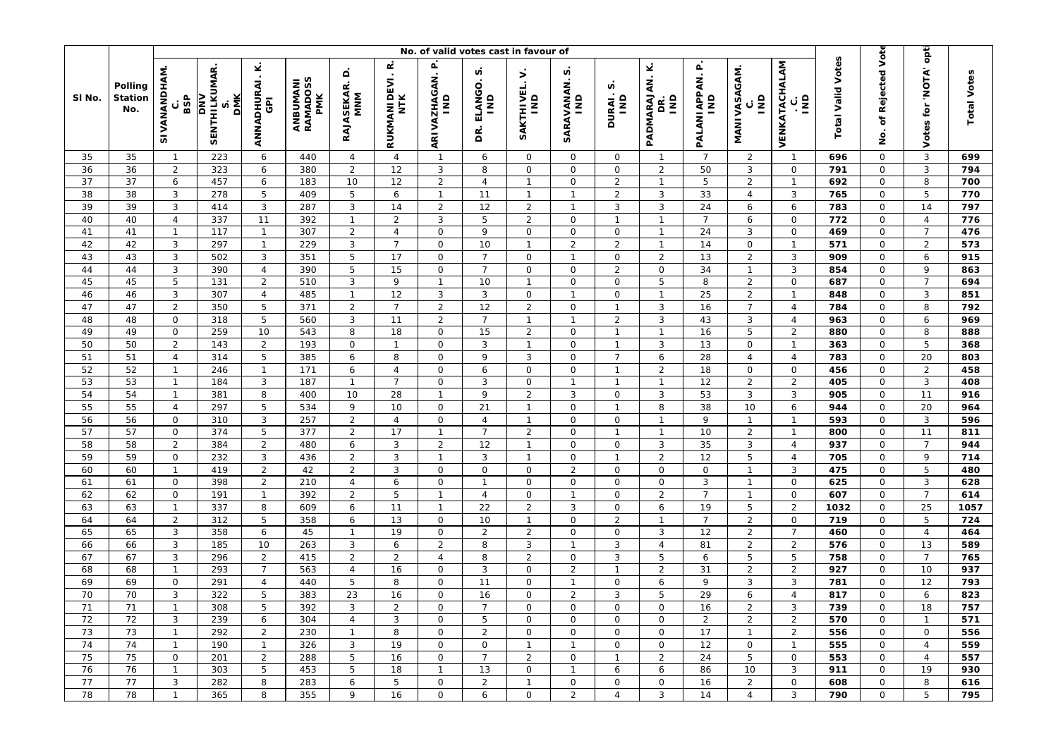|          |                                  | No. of valid votes cast in favour of |                                                 |                                              |                             |                          |                          |                             |                                               |                                   |                                   |                               |                                         |                                 |                                |                                               | opti                     |                       |                        |                    |
|----------|----------------------------------|--------------------------------------|-------------------------------------------------|----------------------------------------------|-----------------------------|--------------------------|--------------------------|-----------------------------|-----------------------------------------------|-----------------------------------|-----------------------------------|-------------------------------|-----------------------------------------|---------------------------------|--------------------------------|-----------------------------------------------|--------------------------|-----------------------|------------------------|--------------------|
| SI No.   | Polling<br><b>Station</b><br>No. | SIVANANDHAM<br>BSP<br>ပ              | <b>SENTHILKUMAR</b><br><b>DMK</b><br><b>NNO</b> | ⊻<br>$\cdot$<br>ANNADHURAI<br>$\overline{6}$ | ANBUMANI<br>RAMADOSS<br>PMK | ≏<br>RAJASEKAR. I<br>MNM | œ<br>RUKMANIDEVI.<br>NTK | ARIVAZHAGAN. P<br>IND       | n<br>ELANGO<br>$\overline{\mathsf{s}}$<br>DR. | $\mathbf{r}$<br>SAKTHIVEL.<br>IND | n<br>SARAVANAN.<br>$\overline{a}$ | n<br>DURAI.;<br>IND           | Ý<br>PADMARAJAN.<br>$\overline{a}$<br>g | PALANIAPPAN. P<br>$\frac{1}{2}$ | <b>MANIVASAGAM.</b>            | VENKATACHALAM<br>$\overline{\mathsf{s}}$<br>ن | <b>Total Valid Votes</b> | of Rejected Vote<br>g | 'NOTA'<br>tor<br>Votes | <b>Total Votes</b> |
| 35       | 35                               | $\mathbf{1}$                         | 223                                             | 6                                            | 440                         | $\overline{4}$           | $\overline{4}$           | $\mathbf{1}$                | 6                                             | $\mathbf 0$                       | 0                                 | $\mathbf 0$                   | $\mathbf 1$                             | $\overline{7}$                  | $\overline{2}$                 | $\overline{1}$                                | 696                      | $\mathbf 0$           | $\mathbf{3}$           | 699                |
| 36       | 36                               | $\overline{2}$                       | 323                                             | 6                                            | 380                         | 2                        | 12                       | $\mathbf{3}$                | 8                                             | 0                                 | 0                                 | $\mathbf 0$                   | $\overline{2}$                          | 50                              | 3                              | $\mathsf{O}$                                  | 791                      | $\mathsf O$           | 3                      | 794                |
| 37       | 37                               | 6                                    | 457                                             | 6                                            | 183                         | 10                       | 12                       | $\mathbf 2$                 | $\overline{4}$                                | $\overline{1}$                    | 0                                 | $\overline{2}$                | $\mathbf{1}$                            | 5                               | $\overline{2}$                 | $\overline{1}$                                | 692                      | $\mathbf 0$           | 8                      | 700                |
| 38       | 38                               | 3                                    | 278                                             | 5                                            | 409                         | 5                        | 6                        | $\mathbf{1}$                | 11                                            | $\overline{1}$                    | $\mathbf{1}$                      | $\overline{2}$                | 3                                       | 33                              | $\overline{4}$                 | 3                                             | 765                      | 0                     | 5                      | 770                |
| 39       | 39                               | $\mathbf{3}$                         | 414                                             | $\mathbf{3}$                                 | 287                         | 3                        | 14                       | $\overline{2}$              | 12                                            | $\overline{2}$                    | $\overline{1}$                    | $\mathbf{3}$                  | $\ensuremath{\mathsf{3}}$               | 24                              | 6                              | 6                                             | 783                      | $\mathsf O$           | 14                     | 797                |
| 40       | 40                               | $\overline{4}$                       | 337                                             | 11                                           | 392                         | $\mathbf{1}$             | $\overline{2}$           | $\mathbf{3}$                | 5                                             | $\overline{2}$                    | 0                                 | $\mathbf{1}$                  | $\mathbf{1}$                            | $\overline{7}$                  | 6                              | $\mathsf{O}$                                  | 772                      | $\mathbf 0$           | $\overline{4}$         | 776                |
| 41       | 41                               | $\mathbf{1}$                         | 117                                             | $\mathbf{1}$                                 | 307                         | 2                        | $\overline{4}$           | $\mathsf O$                 | 9                                             | 0                                 | 0                                 | $\mathsf O$                   | $\mathbf{1}$                            | 24                              | 3                              | $\mathbf 0$                                   | 469                      | 0                     | $\overline{7}$         | 476                |
| 42       | 42                               | $\mathbf{3}$                         | 297                                             | $\mathbf{1}$                                 | 229                         | 3                        | $\overline{7}$<br>17     | $\mathsf O$                 | 10                                            | $\overline{1}$                    | $\overline{2}$                    | $\overline{2}$<br>$\mathbf 0$ | $\mathbf{1}$                            | 14                              | $\mathsf{O}\xspace$            | $\mathbf{1}$                                  | 571                      | $\mathsf O$           | $\overline{2}$         | 573                |
| 43<br>44 | 43                               | 3                                    | 502<br>390                                      | 3<br>$\overline{4}$                          | 351<br>390                  | 5<br>5                   | 15                       | $\mathsf O$                 | $\overline{7}$<br>$\overline{7}$              | $\mathsf{O}\xspace$               | $\mathbf{1}$                      | 2                             | $\overline{2}$                          | 13<br>34                        | $\overline{2}$<br>$\mathbf{1}$ | 3<br>3                                        | 909                      | $\mathbf 0$           | 6<br>9                 | 915<br>863         |
| 45       | 44<br>45                         | 3<br>5                               | 131                                             | $\overline{2}$                               | 510                         | 3                        | 9                        | $\mathsf O$<br>$\mathbf{1}$ | 10                                            | 0<br>$\overline{1}$               | 0<br>0                            | $\mathsf O$                   | $\mathsf O$<br>5                        | 8                               | $\overline{2}$                 | $\mathsf{O}$                                  | 854<br>687               | 0<br>$\mathsf O$      | $\overline{7}$         | 694                |
| 46       | 46                               | 3                                    | 307                                             | $\overline{a}$                               | 485                         | $\mathbf{1}$             | 12                       | $\ensuremath{\mathsf{3}}$   | 3                                             | $\mathbf 0$                       | $\mathbf{1}$                      | $\mathbf 0$                   | $\mathbf{1}$                            | 25                              | $\overline{2}$                 | $\mathbf{1}$                                  | 848                      | $\mathbf 0$           | 3                      | 851                |
| 47       | 47                               | $\overline{2}$                       | 350                                             | 5                                            | 371                         | 2                        | $\overline{7}$           | $\overline{2}$              | 12                                            | $\overline{2}$                    | 0                                 | $\mathbf{1}$                  | $\sqrt{3}$                              | 16                              | $\overline{7}$                 | $\overline{4}$                                | 784                      | 0                     | 8                      | 792                |
| 48       | 48                               | $\mathsf O$                          | 318                                             | 5                                            | 560                         | 3                        | 11                       | $\overline{2}$              | $\overline{7}$                                | $\overline{1}$                    | $\mathbf{1}$                      | $\overline{2}$                | $\mathbf{3}$                            | 43                              | $\mathbf{3}$                   | $\overline{4}$                                | 963                      | $\mathsf O$           | 6                      | 969                |
| 49       | 49                               | $\mathsf{O}$                         | 259                                             | 10                                           | 543                         | 8                        | 18                       | $\mathsf O$                 | 15                                            | $\overline{2}$                    | 0                                 | $\mathbf{1}$                  | $\mathbf{1}$                            | 16                              | 5                              | $\overline{2}$                                | 880                      | $\mathbf 0$           | 8                      | 888                |
| 50       | 50                               | $\overline{2}$                       | 143                                             | $\overline{2}$                               | 193                         | $\mathsf{O}$             | $\mathbf{1}$             | $\mathbf 0$                 | 3                                             | $\overline{1}$                    | 0                                 | $\mathbf{1}$                  | $\sqrt{3}$                              | 13                              | $\mathsf{O}$                   | $\overline{1}$                                | 363                      | 0                     | 5                      | 368                |
| 51       | 51                               | $\overline{4}$                       | 314                                             | 5                                            | 385                         | 6                        | 8                        | $\mathsf O$                 | 9                                             | 3                                 | 0                                 | $\overline{7}$                | $\boldsymbol{6}$                        | 28                              | $\overline{4}$                 | $\overline{4}$                                | 783                      | $\mathsf O$           | 20                     | 803                |
| 52       | 52                               | $\mathbf{1}$                         | 246                                             | $\mathbf{1}$                                 | 171                         | 6                        | $\overline{4}$           | $\mathsf{O}\xspace$         | 6                                             | 0                                 | 0                                 | $\mathbf{1}$                  | $\sqrt{2}$                              | 18                              | $\mathsf 0$                    | $\mathbf 0$                                   | 456                      | $\mathsf O$           | $\overline{2}$         | 458                |
| 53       | 53                               | $\mathbf{1}$                         | 184                                             | $\mathbf{3}$                                 | 187                         | $\mathbf{1}$             | $\overline{7}$           | $\mathbf 0$                 | 3                                             | 0                                 | $\mathbf{1}$                      | $\mathbf{1}$                  | $\mathbf{1}$                            | 12                              | $\overline{2}$                 | $\overline{2}$                                | 405                      | 0                     | 3                      | 408                |
| 54       | 54                               | $\mathbf{1}$                         | 381                                             | 8                                            | 400                         | 10                       | 28                       | $\mathbf{1}$                | 9                                             | $\overline{2}$                    | 3                                 | $\mathsf O$                   | $\sqrt{3}$                              | 53                              | $\mathbf{3}$                   | 3                                             | 905                      | $\mathsf O$           | 11                     | 916                |
| 55       | 55                               | $\overline{4}$                       | 297                                             | 5                                            | 534                         | 9                        | 10                       | $\mathsf{O}$                | 21                                            | $\overline{1}$                    | 0                                 | $\mathbf{1}$                  | 8                                       | 38                              | 10                             | 6                                             | 944                      | 0                     | 20                     | 964                |
| 56       | 56                               | $\mathsf{O}$                         | 310                                             | $\mathbf{3}$                                 | 257                         | $\overline{2}$           | $\overline{4}$           | $\mathbf 0$                 | $\overline{4}$                                | $\overline{1}$                    | 0                                 | $\mathsf O$                   | $\mathbf{1}$                            | 9                               | $\mathbf{1}$                   | $\overline{1}$                                | 593                      | $\mathbf 0$           | 3                      | 596                |
| 57       | 57                               | $\mathsf O$                          | 374                                             | 5                                            | 377                         | $\overline{2}$           | 17                       | $\mathbf{1}$                | $\overline{7}$                                | $\overline{2}$                    | 0                                 | $\mathbf{1}$                  | $\mathbf{1}$                            | 10                              | $\overline{2}$                 | $\mathbf{1}$                                  | 800                      | 0                     | 11                     | 811                |
| 58       | 58                               | $\overline{2}$                       | 384                                             | $\overline{2}$                               | 480                         | 6                        | 3                        | $\sqrt{2}$                  | 12                                            | $\overline{1}$                    | 0                                 | $\mathbf 0$                   | $\sqrt{3}$                              | 35                              | 3                              | $\overline{4}$                                | 937                      | 0                     | $\overline{7}$         | 944                |
| 59       | 59                               | $\mathsf{O}$                         | 232                                             | $\mathbf{3}$                                 | 436                         | $\overline{2}$           | $\sqrt{3}$               | $\overline{1}$              | $\mathbf{3}$                                  | $\overline{1}$                    | 0                                 | $\mathbf{1}$                  | $\overline{2}$                          | 12                              | 5                              | $\overline{4}$                                | 705                      | $\mathsf{O}$          | 9                      | 714                |
| 60       | 60                               | $\mathbf{1}$                         | 419                                             | $\overline{2}$                               | 42                          | 2                        | $\mathbf{3}$             | $\mathsf{O}\xspace$         | $\mathsf{O}$                                  | 0                                 | $\overline{a}$                    | $\mathsf{O}$                  | $\mathsf O$                             | $\mathbf 0$                     | $\overline{1}$                 | 3                                             | 475                      | $\mathsf O$           | 5                      | 480                |
| 61       | 61                               | 0                                    | 398                                             | $\overline{2}$                               | 210                         | 4                        | 6                        | $\mathsf O$                 | $\mathbf{1}$                                  | 0                                 | 0                                 | 0                             | $\mathsf{O}\xspace$                     | 3                               | $\mathbf{1}$                   | $\mathsf{O}$                                  | 625                      | 0                     | 3                      | 628                |
| 62       | 62                               | $\mathsf O$                          | 191                                             | $\mathbf{1}$                                 | 392                         | 2                        | 5                        | $\mathbf{1}$                | $\overline{4}$                                | $\Omega$                          | $\mathbf{1}$                      | $\mathbf 0$                   | $\sqrt{2}$                              | $\overline{7}$                  | $\mathbf{1}$                   | $\mathsf{O}$                                  | 607                      | $\mathbf 0$           | $\overline{7}$         | 614                |
| 63       | 63                               | $\mathbf{1}$                         | 337                                             | 8                                            | 609                         | 6                        | 11                       | $\mathbf{1}$                | 22                                            | $\overline{2}$                    | 3                                 | $\mathsf{O}\xspace$           | $\boldsymbol{6}$                        | 19                              | 5                              | $\overline{2}$                                | 1032                     | 0                     | 25                     | 1057               |
| 64       | 64                               | $\overline{2}$                       | 312                                             | 5                                            | 358                         | 6                        | 13                       | $\mathsf{O}$                | 10                                            | $\overline{1}$                    | 0                                 | $\overline{2}$                | $\mathbf{1}$                            | $\overline{7}$                  | $\overline{2}$                 | $\mathsf{O}$                                  | 719                      | $\mathsf O$           | 5                      | 724                |
| 65       | 65                               | $\mathbf{3}$                         | 358                                             | 6                                            | 45                          | $\mathbf{1}$             | 19                       | $\mathsf{O}\xspace$         | $\overline{2}$                                | $\overline{2}$                    | 0                                 | $\mathbf 0$                   | $\ensuremath{\mathsf{3}}$               | 12                              | $\overline{2}$                 | $\overline{7}$                                | 460                      | $\mathsf{O}$          | $\overline{4}$         | 464                |
| 66       | 66                               | 3                                    | 185                                             | 10                                           | 263                         | 3                        | $\boldsymbol{6}$         | $\sqrt{2}$                  | 8                                             | 3                                 | $\mathbf{1}$                      | 3                             | $\overline{4}$                          | 81                              | $\overline{2}$                 | $\overline{2}$                                | 576                      | $\mathsf O$           | 13                     | 589                |
| 67       | 67                               | 3                                    | 296                                             | $\overline{2}$                               | 415                         | 2                        | $\overline{2}$           | $\overline{4}$              | 8                                             | $\overline{2}$                    | 0                                 | 3                             | 5                                       | 6                               | 5                              | 5                                             | 758                      | $\mathsf O$           | $\overline{7}$         | 765                |
| 68       | 68                               | $\mathbf{1}$                         | 293                                             | $\overline{7}$                               | 563                         | $\overline{4}$           | 16                       | $\mathsf O$                 | 3                                             | 0                                 | $\overline{2}$                    | $\mathbf{1}$                  | $\overline{2}$                          | 31                              | $\overline{2}$                 | $\overline{2}$                                | 927                      | $\mathsf O$           | 10                     | 937                |
| 69       | 69                               | 0                                    | 291                                             | $\overline{4}$                               | 440                         | 5                        | 8                        | $\mathsf O$                 | 11                                            | 0                                 | $\mathbf{1}$                      | 0                             | 6                                       | 9                               | 3                              | 3                                             | 781                      | 0                     | 12                     | 793                |
| 70       | 70                               | $\mathsf 3$                          | 322                                             | 5                                            | 383                         | 23                       | 16                       | $\mathbf 0$                 | 16                                            | 0                                 | $\overline{2}$                    | 3                             | 5                                       | 29                              | 6                              | $\overline{4}$                                | 817                      | $\mathsf O$           | 6                      | 823                |
| 71       | 71                               | $\mathbf{1}$                         | 308                                             | 5                                            | 392                         | 3                        | $\sqrt{2}$               | $\mathsf O$                 | $\overline{7}$                                | 0                                 | 0                                 | $\mathsf{O}\xspace$           | $\mathsf{O}\xspace$                     | 16                              | $\overline{c}$                 | 3                                             | 739                      | $\mathsf O$           | 18                     | 757                |
| 72       | 72                               | 3                                    | 239                                             | 6                                            | 304                         | 4                        | 3                        | $\mathbf{O}$                | 5                                             | 0                                 | 0                                 | $\mathsf{O}$                  | 0                                       | $\overline{2}$                  | $\overline{2}$                 | $\overline{2}$                                | 570                      | 0                     | $\mathbf{1}$           | 571                |
| 73       | 73                               | $\mathbf{1}$                         | 292                                             | $\overline{2}$                               | 230                         | $\mathbf{1}$             | 8                        | $\mathsf{O}$                | $\overline{2}$                                | 0                                 | 0                                 | $\mathsf{O}$                  | $\mathsf{O}$                            | 17                              | $\mathbf{1}$                   | $\overline{2}$                                | 556                      | $\mathsf{O}$          | 0                      | 556                |
| 74       | 74                               | $\mathbf{1}$                         | 190                                             | $\mathbf{1}$                                 | 326                         | 3                        | 19                       | $\mathbf 0$                 | $\mathsf{O}$                                  | $\overline{1}$                    | $\mathbf{1}$                      | $\mathbf 0$                   | $\mathsf{O}$                            | 12                              | $\mathbf 0$                    | $\mathbf{1}$                                  | 555                      | $\mathbf 0$           | $\overline{4}$         | 559                |
| 75       | 75                               | 0                                    | 201                                             | $\overline{2}$                               | 288                         | 5                        | 16                       | 0                           | $\overline{7}$                                | $\overline{2}$                    | 0                                 | $\mathbf{1}$                  | $\overline{2}$                          | 24                              | 5                              | 0                                             | 553                      | 0                     | 4                      | 557                |
| 76       | 76                               | $\mathbf{1}$                         | 303                                             | 5                                            | 453                         | 5                        | 18                       | $\mathbf{1}$                | 13                                            | $\mathbf 0$                       | $\mathbf{1}$                      | 6                             | 6                                       | 86                              | 10                             | 3                                             | 911                      | $\mathsf{O}$          | 19                     | 930                |
| 77       | 77                               | $\mathbf{3}$                         | 282                                             | 8                                            | 283                         | 6                        | 5                        | $\mathsf{O}$                | $\overline{2}$                                | $\overline{1}$                    | 0                                 | $\mathsf O$                   | 0                                       | 16                              | $\overline{2}$                 | $\mathsf{O}\xspace$                           | 608                      | 0                     | 8                      | 616                |
| 78       | 78                               | $\mathbf{1}$                         | 365                                             | 8                                            | 355                         | 9                        | 16                       | 0                           | 6                                             | 0                                 | $\overline{2}$                    | $\overline{4}$                | $\mathbf{3}$                            | 14                              | $\overline{4}$                 | 3                                             | 790                      | $\mathsf{O}$          | 5                      | 795                |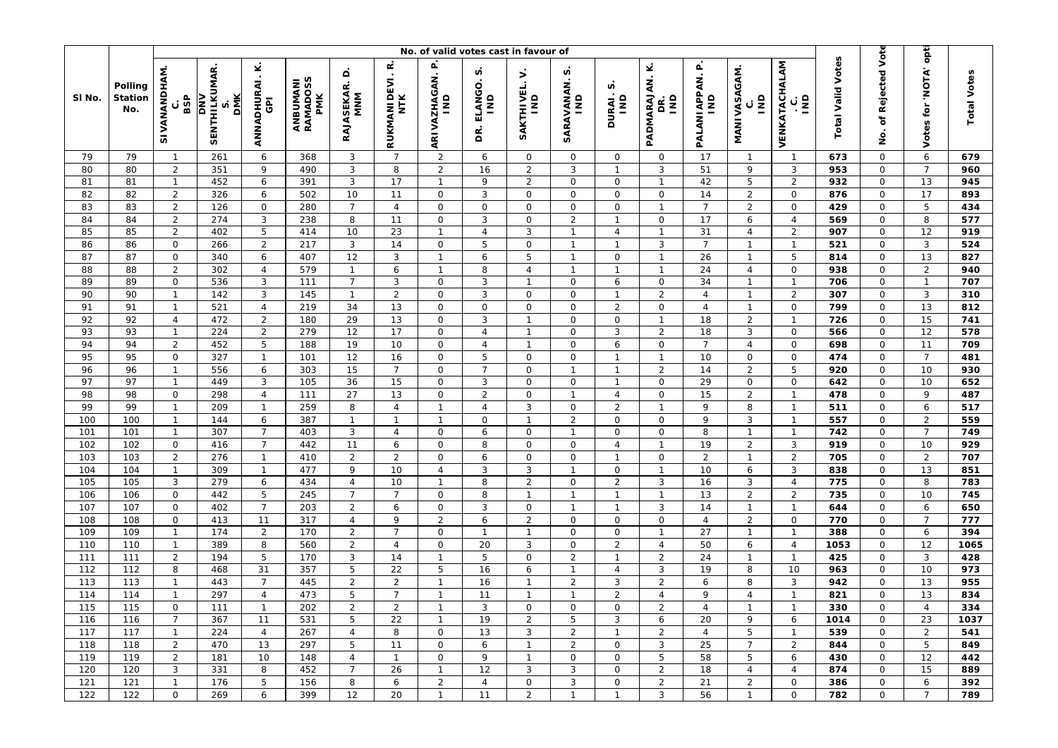|                   |                           | No. of valid votes cast in favour of |                                          |                                          |                                    |                                          |                          |                                    |                                    |                                |                                   |                                |                                |                                      |                                         |                                               |                          |                                            |                                      |                    |
|-------------------|---------------------------|--------------------------------------|------------------------------------------|------------------------------------------|------------------------------------|------------------------------------------|--------------------------|------------------------------------|------------------------------------|--------------------------------|-----------------------------------|--------------------------------|--------------------------------|--------------------------------------|-----------------------------------------|-----------------------------------------------|--------------------------|--------------------------------------------|--------------------------------------|--------------------|
| SI No.            | Polling<br>Station<br>No. | SIVANANDHAM<br>BSP<br>ပ              | SENTHILKUMAR<br><b>DMK</b><br><b>NNO</b> | ANNADHURAI.K.<br>$\overline{\mathbf{G}}$ | ANBUMANI<br>RAMADOSS<br><b>PMK</b> | $\mathsf{d}$<br><b>RAJASEKAR.</b><br>MNM | œ<br>RUKMANIDEVI.<br>NTK | ARIVAZHAGAN. P<br>IND              | n<br>ELANGO.<br>$\frac{1}{2}$<br>g | Š.<br>SAKTHIVEL.<br>IND        | n<br>SARAVANAN.<br>$\overline{a}$ | n<br>DURAI.:<br>IND            | Ý<br>PADMARAJAN.<br>gNI<br>Βë  | $\mathbf{r}$<br>PALANI APPAN.<br>lvi | MANIVASAGAM.<br>$\overline{\mathsf{s}}$ | VENKATACHALAM<br>$\overline{\mathsf{s}}$<br>ပ | <b>Total Valid Votes</b> | of Rejected Vote<br>ġ                      | opti<br><b>ATON'</b><br>tor<br>Votes | <b>Total Votes</b> |
| 79                | 79                        | $\mathbf{1}$                         | 261                                      | 6                                        | 368                                | 3                                        | $\overline{7}$           | $\sqrt{2}$                         | 6                                  | $\mathbf 0$                    | 0                                 | $\mathsf{O}$                   | $\mathbf 0$                    | 17                                   | $\overline{1}$                          | $\overline{1}$                                | 673                      | 0                                          | $\boldsymbol{6}$                     | 679                |
| 80                | 80                        | $\overline{2}$                       | 351                                      | 9                                        | 490                                | 3                                        | 8                        | $\overline{2}$                     | 16                                 | $\overline{c}$                 | 3                                 | $\mathbf{1}$                   | 3                              | 51                                   | 9                                       | 3                                             | 953                      | $\mathsf O$                                | $\overline{7}$                       | 960                |
| 81                | 81                        | $\mathbf{1}$                         | 452                                      | 6                                        | 391                                | 3                                        | 17                       | $\mathbf{1}$                       | 9                                  | $\overline{2}$                 | $\mathsf{O}$                      | $\mathbf 0$                    | $\mathbf{1}$                   | 42                                   | 5                                       | $\overline{2}$                                | 932                      | $\mathsf O$                                | 13                                   | 945                |
| 82                | 82                        | $\overline{2}$                       | 326                                      | 6                                        | 502                                | 10                                       | 11                       | $\mathsf O$                        | 3                                  | $\mathbf 0$                    | 0                                 | $\mathsf{O}$                   | $\mathsf O$                    | 14                                   | $\overline{2}$                          | $\mathsf{O}$                                  | 876                      | $\mathsf{O}\xspace$                        | 17                                   | 893                |
| 83<br>84          | 83<br>84                  | 2                                    | 126<br>274                               | $\mathsf O$<br>$\mathbf{3}$              | 280<br>238                         | $\overline{7}$                           | $\overline{4}$<br>11     | $\mathsf O$<br>$\mathsf{O}\xspace$ | $\mathsf{O}$                       | $\mathbf 0$<br>$\mathbf 0$     | $\mathsf{O}$                      | $\overline{O}$<br>$\mathbf{1}$ | $\mathbf{1}$<br>$\mathsf O$    | $\overline{7}$<br>17                 | $\overline{2}$                          | $\mathsf O$<br>$\overline{4}$                 | 429<br>569               | $\mathsf{O}$                               | 5<br>8                               | 434<br>577         |
| 85                | 85                        | $\overline{2}$<br>$\overline{2}$     | 402                                      | $\mathbf 5$                              | 414                                | 8<br>10                                  | 23                       | $\mathbf{1}$                       | 3<br>$\overline{4}$                | 3                              | $\overline{2}$<br>$\mathbf{1}$    | $\overline{4}$                 | $\mathbf{1}$                   | 31                                   | 6<br>$\overline{4}$                     | $\overline{2}$                                | 907                      | 0<br>0                                     | 12                                   | 919                |
| 86                | 86                        | $\mathsf{O}\xspace$                  | 266                                      | $\sqrt{2}$                               | 217                                | $\sqrt{3}$                               | 14                       | $\mathsf O$                        | 5                                  | 0                              | $\mathbf{1}$                      | $\mathbf{1}$                   | $\mathbf{3}$                   | $\overline{7}$                       | $\mathbf{1}$                            | $\overline{1}$                                | 521                      | $\mathsf O$                                | 3                                    | 524                |
| 87                | 87                        | $\mathbf 0$                          | 340                                      | 6                                        | 407                                | 12                                       | 3                        | $\mathbf{1}$                       | 6                                  | 5                              | $\mathbf{1}$                      | $\mathbf 0$                    | $\mathbf{1}$                   | 26                                   | $\mathbf{1}$                            | 5                                             | 814                      | $\mathsf O$                                | 13                                   | 827                |
| 88                | 88                        | $\overline{2}$                       | 302                                      | $\overline{4}$                           | 579                                | $\mathbf{1}$                             | 6                        | $\mathbf{1}$                       | 8                                  | 4                              | $\mathbf{1}$                      | $\mathbf{1}$                   | $\mathbf{1}$                   | 24                                   | $\overline{4}$                          | 0                                             | 938                      | $\mathsf{O}\xspace$                        | 2                                    | 940                |
| 89                | 89                        | $\mathsf{O}\xspace$                  | 536                                      | $\mathbf{3}$                             | 111                                | $\overline{7}$                           | 3                        | $\mathsf O$                        | 3                                  | $\overline{1}$                 | $\mathsf{O}$                      | 6                              | $\mathsf O$                    | 34                                   | $\mathbf{1}$                            | $\mathbf{1}$                                  | 706                      | $\mathsf O$                                | $\mathbf{1}$                         | 707                |
| 90                | 90                        | $\mathbf{1}$                         | 142                                      | $\mathbf{3}$                             | 145                                | $\mathbf{1}$                             | $\overline{2}$           | $\mathsf O$                        | 3                                  | $\mathbf 0$                    | $\mathsf{O}$                      | $\mathbf{1}$                   | $\sqrt{2}$                     | $\overline{4}$                       | $\overline{1}$                          | $\overline{2}$                                | 307                      | $\mathsf O$                                | 3                                    | 310                |
| 91                | 91                        | $\mathbf{1}$                         | 521                                      | $\overline{4}$                           | 219                                | 34                                       | 13                       | $\mathsf O$                        | $\mathsf{O}$                       | $\mathbf 0$                    | $\mathbf 0$                       | $\overline{2}$                 | $\mathsf O$                    | $\overline{4}$                       | $\overline{1}$                          | $\mathsf{O}$                                  | 799                      | $\mathsf{O}\xspace$                        | 13                                   | 812                |
| 92                | 92                        | $\overline{4}$                       | 472                                      | $\sqrt{2}$                               | 180                                | 29                                       | 13                       | $\mathsf O$                        | $\mathbf{3}$                       | $\mathbf{1}$                   | $\mathsf{O}$                      | $\mathsf{O}\xspace$            | $\mathbf{1}$                   | 18                                   | $\overline{2}$                          | $\mathbf{1}$                                  | 726                      | $\mathsf{O}\xspace$                        | 15                                   | 741                |
| 93                | 93                        | $\mathbf{1}$                         | 224                                      | $\sqrt{2}$                               | 279                                | 12                                       | 17                       | $\mathsf O$                        | $\overline{4}$                     | $\overline{1}$                 | $\mathsf{O}$                      | 3                              | $\overline{2}$                 | 18                                   | 3                                       | $\mathbf{O}$                                  | 566                      | $\mathsf O$                                | 12                                   | 578                |
| 94                | 94                        | $\overline{2}$                       | 452                                      | $\overline{5}$                           | 188                                | 19                                       | 10                       | $\mathsf O$                        | $\overline{4}$                     | $\mathbf{1}$                   | $\mathsf{O}$                      | 6                              | $\mathsf{O}\xspace$            | $\overline{7}$                       | $\overline{4}$                          | 0                                             | 698                      | $\mathsf O$                                | 11                                   | 709                |
| 95                | 95                        | $\mathsf{O}\xspace$                  | 327                                      | $\mathbf{1}$                             | 101                                | 12                                       | 16                       | $\mathsf O$                        | 5                                  | $\mathbf 0$                    | $\mathsf{O}$                      | $\mathbf{1}$                   | $\mathbf{1}$                   | 10                                   | $\mathsf O$                             | $\mathsf{O}$                                  | 474                      | $\mathsf{O}\xspace$                        | $\overline{7}$                       | 481                |
| 96                | 96                        | $\mathbf{1}$                         | 556                                      | 6                                        | 303                                | 15                                       | $\overline{7}$           | $\mathsf{O}\xspace$                | $\overline{7}$                     | $\mathbf 0$                    | $\mathbf{1}$                      | $\mathbf{1}$                   | $\sqrt{2}$                     | 14                                   | $\overline{2}$                          | 5                                             | 920                      | $\mathsf{O}$                               | 10                                   | 930                |
| 97                | 97                        | $\mathbf{1}$                         | 449                                      | $\mathbf{3}$                             | 105                                | 36                                       | 15                       | $\mathsf{O}\xspace$                | 3                                  | 0                              | $\mathsf{O}$                      | $\mathbf{1}$                   | $\mathsf O$                    | 29                                   | $\mathsf{O}\xspace$                     | 0                                             | 642                      | 0                                          | 10                                   | 652                |
| 98                | 98                        | $\mathsf{O}\xspace$                  | 298                                      | $\sqrt{4}$                               | 111                                | 27                                       | 13                       | $\mathsf O$                        | $\overline{a}$                     | $\mathbf 0$                    | $\mathbf{1}$                      | $\overline{4}$                 | $\mathsf{O}\xspace$            | 15                                   | $\overline{2}$                          | $\mathbf{1}$                                  | 478                      | $\mathsf O$                                | 9                                    | 487                |
| 99                | 99                        | $\mathbf{1}$                         | 209                                      | $\mathbf{1}$                             | 259                                | 8                                        | 4                        | $\mathbf{1}$                       | $\overline{4}$                     | 3                              | 0                                 | $\overline{2}$                 | $\mathbf{1}$                   | 9                                    | 8                                       | $\overline{1}$                                | 511                      | $\mathsf O$                                | 6                                    | 517                |
| 100               | 100                       | $\mathbf{1}$                         | 144                                      | 6                                        | 387                                | $\mathbf{1}$                             | $\mathbf{1}$             | $\mathbf{1}$                       | 0                                  | $\overline{1}$                 | $\overline{2}$                    | $\mathsf{O}\xspace$            | $\mathsf O$                    | 9                                    | 3                                       | $\overline{1}$                                | 557                      | $\mathsf O$                                | $\overline{2}$                       | 559                |
| 101               | 101                       | $\mathbf{1}$                         | 307                                      | $\overline{7}$                           | 403                                | 3                                        | $\overline{4}$           | $\mathsf{O}\xspace$                | 6                                  | 0                              | $\mathbf{1}$                      | $\mathsf{O}\xspace$            | $\mathsf O$                    | 8                                    | $\overline{1}$                          | $\overline{1}$                                | 742                      | $\mathsf{O}\xspace$                        | $\overline{7}$                       | 749                |
| 102               | 102                       | $\mathsf{O}$                         | 416                                      | $\overline{7}$                           | 442                                | 11                                       | 6                        | $\mathsf O$                        | 8                                  | $\mathbf 0$                    | 0                                 | $\overline{4}$                 | $\mathbf{1}$                   | 19                                   | $\overline{2}$                          | 3                                             | 919                      | 0                                          | 10                                   | 929                |
| 103               | 103                       | $\overline{2}$                       | 276                                      | $\mathbf{1}$                             | 410                                | $\overline{c}$                           | $\overline{2}$           | $\mathsf{O}\xspace$                | 6                                  | $\mathbf 0$                    | $\mathsf{O}$                      | $\mathbf{1}$                   | $\mathsf O$                    | $\overline{2}$                       | $\mathbf{1}$                            | $\overline{2}$                                | 705                      | $\mathsf O$                                | $\overline{2}$                       | 707                |
| 104               | 104                       | $\mathbf{1}$                         | 309                                      | $\mathbf{1}$                             | 477                                | 9                                        | 10                       | $\sqrt{4}$                         | 3                                  | 3                              | $\mathbf{1}$                      | $\mathbf 0$                    | $\mathbf{1}$                   | 10                                   | 6                                       | 3                                             | 838                      | $\mathsf{O}\xspace$                        | 13                                   | 851                |
| 105               | 105                       | 3                                    | 279                                      | 6                                        | 434                                | 4                                        | 10                       | $\mathbf{1}$                       | 8                                  | 2                              | 0                                 | $\overline{2}$                 | $\mathbf{3}$                   | 16                                   | 3                                       | 4                                             | 775                      | $\mathsf{O}$                               | 8                                    | 783                |
| 106               | 106                       | $\mathsf{O}\xspace$                  | 442                                      | $\overline{5}$                           | 245                                | $\overline{7}$                           | $\overline{7}$           | $\mathsf O$                        | 8                                  | $\overline{1}$                 | $\mathbf{1}$                      | $\mathbf{1}$                   | $\mathbf{1}$                   | 13                                   | $\overline{2}$                          | $\overline{2}$                                | 735                      | $\mathsf O$                                | 10                                   | $\overline{745}$   |
| 107               | 107                       | $\mathsf{O}\xspace$                  | 402                                      | $\overline{7}$                           | 203                                | $\overline{2}$                           | 6                        | $\mathsf O$                        | 3                                  | 0                              | $\mathbf{1}$                      | $\mathbf{1}$                   | 3                              | 14                                   | $\mathbf{1}$                            | $\overline{1}$                                | 644                      | $\mathsf O$                                | 6                                    | 650                |
| 108<br>109        | 108                       | $\mathsf O$<br>$\mathbf{1}$          | 413                                      | 11                                       | 317                                | 4                                        | 9<br>$\overline{7}$      | $\overline{2}$                     | 6                                  | $\overline{2}$<br>$\mathbf{1}$ | $\mathsf{O}$                      | $\mathsf{O}$                   | $\mathsf{O}\xspace$            | $\overline{4}$                       | $\overline{2}$                          | $\mathsf{O}$<br>$\overline{1}$                | 770                      | $\mathsf O$                                | $\overline{7}$                       | 777                |
| 110               | 109<br>110                | $\mathbf{1}$                         | 174<br>389                               | $\overline{2}$<br>8                      | 170<br>560                         | $\overline{c}$<br>$\overline{2}$         | $\overline{4}$           | $\mathsf O$<br>$\mathsf{O}\xspace$ | $\mathbf{1}$                       | 3                              | $\mathsf{O}$<br>$\mathsf{O}$      | $\mathsf{O}\xspace$            | $\mathbf{1}$<br>$\overline{4}$ | 27<br>50                             | $\mathbf{1}$<br>6                       | $\overline{4}$                                | 388<br>1053              | $\mathsf{O}\xspace$<br>$\mathsf{O}\xspace$ | 6<br>12                              | 394<br>1065        |
| 111               | 111                       | $\overline{2}$                       | 194                                      | $\overline{5}$                           | 170                                | 3                                        | 14                       | $\mathbf{1}$                       | 20<br>5                            | 0                              | $\overline{2}$                    | $\sqrt{2}$<br>$\mathbf{1}$     | $\overline{2}$                 | 24                                   | $\mathbf{1}$                            | $\overline{1}$                                | 425                      | $\mathsf{O}\xspace$                        | 3                                    | 428                |
| 112               | 112                       | 8                                    | 468                                      | 31                                       | 357                                | 5                                        | 22                       | 5                                  | 16                                 | 6                              | $\mathbf{1}$                      | $\overline{4}$                 | $\mathbf{3}$                   | 19                                   | 8                                       | 10                                            | 963                      | $\mathsf O$                                | 10                                   | 973                |
| 113               | 113                       | $\mathbf{1}$                         | 443                                      | $\overline{7}$                           | 445                                | $\overline{c}$                           | $\overline{2}$           | $\mathbf{1}$                       | 16                                 | $\mathbf{1}$                   | $\overline{2}$                    | 3                              | $\overline{2}$                 | 6                                    | 8                                       | 3                                             | 942                      | $\mathsf O$                                | 13                                   | 955                |
| 114               | 114                       | $\mathbf{1}$                         | 297                                      | $\overline{4}$                           | 473                                | 5                                        | $\overline{7}$           | $\mathbf{1}$                       | 11                                 | $\overline{1}$                 | $\mathbf{1}$                      | $\overline{2}$                 | $\overline{4}$                 | 9                                    | $\overline{4}$                          | $\mathbf{1}$                                  | 821                      | $\mathsf{O}\xspace$                        | 13                                   | 834                |
| $\frac{115}{115}$ | $\frac{115}{115}$         | $\mathsf O$                          | 111                                      | $\mathbf{1}$                             | 202                                | $\sqrt{2}$                               | $\overline{a}$           | $\mathbf{1}$                       | 3                                  | 0                              | $\mathsf O$                       | $\mathsf{O}\xspace$            | $\overline{c}$                 | $\overline{4}$                       | $\mathbf{1}$                            | $\mathbf{1}$                                  | 330                      | 0                                          | $\overline{4}$                       | 334                |
| 116               | 116                       | $\overline{7}$                       | 367                                      | 11                                       | 531                                | 5                                        | 22                       | $\mathbf{1}$                       | 19                                 | 2                              | 5                                 | 3                              | 6                              | 20                                   | 9                                       | 6                                             | 1014                     | 0                                          | 23                                   | 1037               |
| 117               | 117                       | $\mathbf{1}$                         | 224                                      | $\overline{4}$                           | 267                                | 4                                        | 8                        | $\mathsf{O}$                       | 13                                 | 3                              | $\overline{2}$                    | $\mathbf{1}$                   | $\overline{2}$                 | $\overline{4}$                       | 5                                       | $\mathbf{1}$                                  | 539                      | $\mathbf{O}$                               | $\overline{2}$                       | 541                |
| 118               | 118                       | $\overline{2}$                       | 470                                      | 13                                       | 297                                | 5                                        | 11                       | $\mathsf{O}$                       | 6                                  | $\overline{1}$                 | $\overline{2}$                    | $\mathsf{O}$                   | 3                              | 25                                   | $\overline{7}$                          | $\overline{2}$                                | 844                      | $\mathsf{O}$                               | 5                                    | 849                |
| 119               | 119                       | $\overline{2}$                       | 181                                      | 10                                       | 148                                | 4                                        | $\mathbf{1}$             | $\mathsf{O}$                       | 9                                  | $\overline{1}$                 | 0                                 | $\mathsf{O}$                   | 5                              | 58                                   | 5                                       | 6                                             | 430                      | $\circ$                                    | 12                                   | 442                |
| 120               | 120                       | 3                                    | 331                                      | 8                                        | 452                                | $\overline{7}$                           | 26                       | $\mathbf{1}$                       | 12                                 | 3                              | 3                                 | $\mathsf O$                    | $\overline{2}$                 | 18                                   | $\overline{4}$                          | $\overline{4}$                                | 874                      | $\mathsf{O}$                               | 15                                   | 889                |
| 121               | 121                       | $\mathbf{1}$                         | 176                                      | 5                                        | 156                                | 8                                        | 6                        | $\overline{2}$                     | $\overline{4}$                     | $\mathsf{O}$                   | 3                                 | $\mathsf{O}$                   | $\overline{2}$                 | 21                                   | $\overline{2}$                          | $\mathsf{O}$                                  | 386                      | $\mathsf{O}$                               | 6                                    | 392                |
| 122               | 122                       | $\mathsf{O}$                         | 269                                      | 6                                        | 399                                | 12                                       | 20                       | $\mathbf{1}$                       | 11                                 | $\overline{2}$                 | $\mathbf{1}$                      | $\mathbf{1}$                   | $\mathbf{3}$                   | 56                                   | $\mathbf{1}$                            | $\circ$                                       | 782                      | $\mathsf{O}$                               | $\overline{7}$                       | 789                |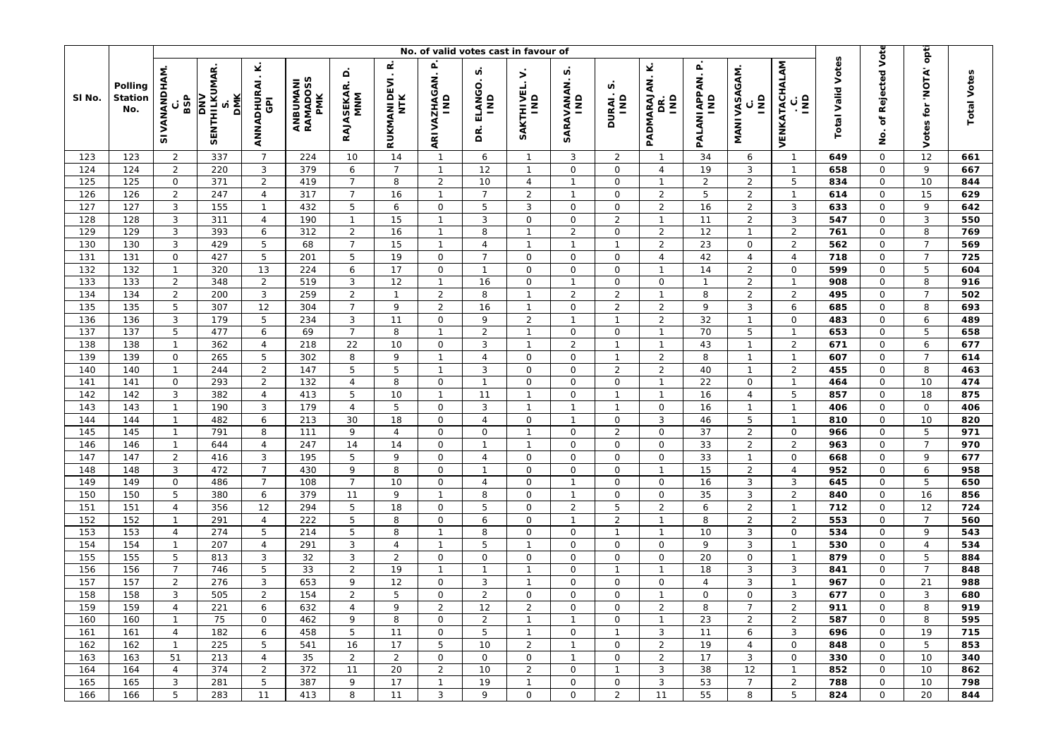|            |                           | No. of valid votes cast in favour of |                                          |                                          |                                    |                                     |                          |                                |                                    |                               |                                          |                              |                                  |                                                 |                                         |                                               |                          |                              |                                      |                    |
|------------|---------------------------|--------------------------------------|------------------------------------------|------------------------------------------|------------------------------------|-------------------------------------|--------------------------|--------------------------------|------------------------------------|-------------------------------|------------------------------------------|------------------------------|----------------------------------|-------------------------------------------------|-----------------------------------------|-----------------------------------------------|--------------------------|------------------------------|--------------------------------------|--------------------|
| SI No.     | Polling<br>Station<br>No. | SIVANANDHAM<br>BSP<br>ပ              | SENTHILKUMAR<br><b>DMK</b><br><b>NNO</b> | ANNADHURAI.K.<br>$\overline{\mathbf{G}}$ | ANBUMANI<br>RAMADOSS<br><b>PMK</b> | $\circ$<br><b>RAJASEKAR.</b><br>MNM | œ<br>RUKMANIDEVI.<br>NTK | ARIVAZHAGAN. P<br>IND          | n<br>ELANGO.<br>$\frac{1}{2}$<br>g | Š.<br>SAKTHIVEL.<br>IND       | n<br><b>SARAVANAN.</b><br>$\overline{2}$ | n<br>DURAI.:<br>IND          | Ϋ́<br>PADMARAJAN.<br>gNI<br>Βë   | $\mathbf{r}$<br>PALANI APPAN.<br>$\overline{a}$ | MANIVASAGAM.<br>$\overline{\mathsf{s}}$ | VENKATACHALAM<br>$\overline{\mathsf{s}}$<br>ပ | <b>Total Valid Votes</b> | of Rejected Vote<br>ġ        | opti<br><b>ATON'</b><br>tor<br>Votes | <b>Total Votes</b> |
| 123        | 123                       | $\overline{2}$                       | 337                                      | $\overline{7}$                           | 224                                | 10                                  | 14                       | $\mathbf{1}$                   | 6                                  | $\overline{1}$                | 3                                        | 2                            | $\mathbf{1}$                     | 34                                              | 6                                       | $\overline{1}$                                | 649                      | $\mathsf{O}$                 | $\overline{12}$                      | 661                |
| 124        | 124                       | $\overline{2}$                       | 220                                      | $\mathbf{3}$                             | 379                                | 6                                   | $\overline{7}$           | $\mathbf{1}$                   | 12                                 | $\overline{1}$                | $\mathsf{O}$                             | $\mathbf 0$                  | $\overline{4}$                   | 19                                              | 3                                       | $\overline{1}$                                | 658                      | $\mathsf O$                  | 9                                    | 667                |
| 125        | 125                       | $\mathsf O$                          | 371                                      | $\overline{2}$                           | 419                                | $\overline{7}$                      | 8                        | $\overline{2}$                 | 10                                 | $\overline{4}$                | $\mathbf{1}$                             | $\overline{O}$               | $\mathbf{1}$                     | $\overline{2}$                                  | $\overline{2}$                          | 5                                             | 834                      | $\mathsf O$                  | 10                                   | 844                |
| 126        | 126                       | $\overline{2}$                       | 247                                      | $\overline{4}$                           | 317                                | $\overline{7}$                      | 16                       | $\mathbf{1}$                   | $\overline{7}$                     | 2                             | $\mathbf{1}$                             | $\mathsf{O}$                 | $\overline{2}$                   | 5                                               | $\overline{2}$                          | $\mathbf{1}$                                  | 614                      | $\mathsf{O}\xspace$          | 15                                   | 629                |
| 127        | 127                       | $\mathbf{3}$                         | 155                                      | $\overline{1}$                           | 432                                | 5                                   | 6                        | $\mathsf O$                    | 5                                  | 3                             | $\mathsf{O}$                             | $\mathbf 0$                  | $\overline{2}$                   | 16                                              | $\overline{2}$                          | 3                                             | 633                      | $\mathsf O$                  | 9                                    | 642                |
| 128        | 128                       | 3<br>3                               | 311                                      | $\overline{4}$                           | 190                                | $\mathbf{1}$                        | 15                       | $\mathbf{1}$                   | 3<br>8                             | $\mathbf 0$<br>$\overline{1}$ | $\mathbf 0$<br>2                         | $\overline{2}$               | $\mathbf{1}$                     | 11                                              | $\overline{2}$                          | 3<br>$\overline{2}$                           | 547                      | 0                            | 3                                    | 550                |
| 129<br>130 | 129<br>130                | $\mathbf{3}$                         | 393<br>429                               | 6<br>$\overline{5}$                      | 312<br>68                          | 2<br>$\overline{7}$                 | 16<br>15                 | $\mathbf{1}$<br>$\mathbf{1}$   | $\overline{4}$                     | $\overline{1}$                | $\mathbf{1}$                             | $\mathsf{O}$<br>$\mathbf{1}$ | $\overline{2}$<br>$\overline{2}$ | 12<br>23                                        | $\overline{1}$<br>$\mathsf{O}\xspace$   | $\overline{2}$                                | 761<br>562               | 0<br>$\mathsf O$             | 8<br>$\overline{7}$                  | 769<br>569         |
| 131        | 131                       | $\mathsf{O}\xspace$                  | 427                                      | $\overline{5}$                           | 201                                | 5                                   | 19                       | $\mathsf O$                    | $\overline{7}$                     | $\mathbf 0$                   | $\mathsf{O}$                             | $\mathbf 0$                  | $\overline{4}$                   | 42                                              | $\overline{4}$                          | $\overline{4}$                                | 718                      | $\mathsf O$                  | $\overline{7}$                       | 725                |
| 132        | 132                       | $\mathbf{1}$                         | 320                                      | 13                                       | 224                                | 6                                   | 17                       | $\mathsf O$                    | $\mathbf{1}$                       | $\mathbf 0$                   | 0                                        | $\mathsf{O}$                 | $\mathbf{1}$                     | 14                                              | $\overline{2}$                          | 0                                             | 599                      | $\mathsf{O}$                 | 5                                    | 604                |
| 133        | 133                       | $\overline{2}$                       | 348                                      | $\overline{2}$                           | 519                                | 3                                   | 12                       | $\mathbf{1}$                   | 16                                 | $\mathbf 0$                   | $\mathbf{1}$                             | $\mathbf 0$                  | $\mathsf{O}\xspace$              | $\mathbf{1}$                                    | $\overline{2}$                          | $\mathbf{1}$                                  | 908                      | $\mathsf O$                  | 8                                    | 916                |
| 134        | 134                       | $\overline{c}$                       | 200                                      | $\sqrt{3}$                               | 259                                | $\overline{2}$                      | $\mathbf{1}$             | $\sqrt{2}$                     | 8                                  | $\overline{1}$                | $\overline{2}$                           | $\overline{2}$               | $\mathbf{1}$                     | 8                                               | $\overline{2}$                          | $\overline{2}$                                | 495                      | $\mathsf O$                  | $\overline{7}$                       | 502                |
| 135        | 135                       | 5                                    | 307                                      | 12                                       | 304                                | $\overline{7}$                      | 9                        | $\overline{2}$                 | 16                                 | $\overline{1}$                | $\mathsf{O}$                             | $\overline{2}$               | $\overline{2}$                   | 9                                               | 3                                       | 6                                             | 685                      | $\mathsf{O}\xspace$          | 8                                    | 693                |
| 136        | 136                       | $\mathbf{3}$                         | 179                                      | $\overline{5}$                           | 234                                | 3                                   | 11                       | $\mathsf O$                    | 9                                  | $\overline{2}$                | $\mathbf{1}$                             | $\mathbf{1}$                 | $\overline{2}$                   | 32                                              | $\mathbf{1}$                            | $\mathsf{O}$                                  | 483                      | $\mathsf O$                  | 6                                    | 489                |
| 137        | 137                       | 5                                    | 477                                      | 6                                        | 69                                 | $\overline{7}$                      | 8                        | $\mathbf{1}$                   | $\overline{a}$                     | $\overline{1}$                | $\mathsf{O}$                             | $\mathbf 0$                  | $\mathbf{1}$                     | 70                                              | 5                                       | $\mathbf{1}$                                  | 653                      | $\mathsf O$                  | 5                                    | 658                |
| 138        | 138                       | $\mathbf{1}$                         | 362                                      | $\overline{4}$                           | 218                                | 22                                  | 10                       | $\mathsf O$                    | 3                                  | $\mathbf{1}$                  | $\overline{a}$                           | $\mathbf{1}$                 | $\mathbf{1}$                     | 43                                              | $\mathbf{1}$                            | $\overline{a}$                                | 671                      | $\mathsf O$                  | 6                                    | 677                |
| 139        | 139                       | $\mathsf{O}\xspace$                  | 265                                      | $\overline{5}$                           | 302                                | 8                                   | 9                        | $\mathbf{1}$                   | $\overline{4}$                     | $\mathbf 0$                   | $\mathsf{O}$                             | $\mathbf{1}$                 | $\overline{2}$                   | 8                                               | $\mathbf{1}$                            | $\overline{1}$                                | 607                      | $\mathsf{O}\xspace$          | $\overline{7}$                       | 614                |
| 140        | 140                       | $\mathbf{1}$                         | 244                                      | $\overline{2}$                           | 147                                | 5                                   | 5                        | $\mathbf{1}$                   | 3                                  | $\mathbf 0$                   | $\mathsf{O}$                             | $\overline{2}$               | $\overline{2}$                   | 40                                              | $\overline{1}$                          | $\overline{2}$                                | 455                      | $\mathsf{O}$                 | 8                                    | 463                |
| 141        | 141                       | $\mathsf{O}\xspace$                  | 293                                      | $\overline{2}$                           | 132                                | $\overline{4}$                      | 8                        | $\mathsf O$                    | $\mathbf{1}$                       | $\mathbf 0$                   | 0                                        | $\mathsf{O}\xspace$          | $\mathbf{1}$                     | 22                                              | $\mathbf 0$                             | $\overline{1}$                                | 464                      | 0                            | 10                                   | 474                |
| 142        | 142                       | $\mathbf{3}$                         | 382                                      | $\overline{4}$                           | 413                                | 5                                   | 10                       | $\mathbf{1}$                   | 11                                 | $\overline{1}$                | $\mathsf{O}$                             | $\mathbf{1}$                 | $\mathbf{1}$                     | 16                                              | $\overline{4}$                          | 5                                             | 857                      | $\mathsf O$                  | 18                                   | 875                |
| 143        | 143                       | $\mathbf{1}$                         | 190                                      | 3                                        | 179                                | $\overline{4}$                      | 5                        | $\mathsf O$                    | 3                                  | $\overline{1}$                | $\mathbf{1}$                             | $\mathbf{1}$                 | $\mathsf O$                      | 16                                              | $\overline{1}$                          | $\mathbf{1}$                                  | 406                      | $\mathbf 0$                  | $\mathbf 0$                          | 406                |
| 144        | 144                       | $\mathbf{1}$                         | 482                                      | 6                                        | 213                                | 30                                  | 18                       | $\mathsf O$                    | $\overline{4}$                     | $\mathbf 0$                   | $\mathbf{1}$                             | $\mathsf{O}$                 | $\mathbf{3}$                     | 46                                              | 5                                       | $\overline{1}$                                | 810                      | $\mathsf{O}\xspace$          | 10                                   | 820                |
| 145        | 145                       | $\mathbf{1}$                         | 791                                      | 8                                        | 111                                | 9                                   | $\overline{4}$           | $\mathsf{O}\xspace$            | 0                                  | $\mathbf{1}$                  | 0                                        | $\overline{2}$               | $\mathsf O$                      | 37                                              | $\overline{2}$                          | $\mathsf{O}$                                  | 966                      | $\mathsf{O}\xspace$          | 5                                    | 971                |
| 146        | 146                       | $\mathbf{1}$                         | 644                                      | $\overline{4}$                           | 247                                | 14                                  | 14                       | $\mathsf O$                    | $\mathbf{1}$                       | $\mathbf{1}$                  | 0                                        | 0                            | $\mathsf O$                      | 33                                              | $\overline{2}$                          | $\overline{2}$                                | 963                      | 0                            | $\overline{7}$                       | 970                |
| 147        | 147                       | $\overline{2}$                       | 416                                      | $\mathbf{3}$                             | 195                                | 5                                   | 9                        | $\mathsf{O}\xspace$            | $\overline{4}$                     | $\mathbf 0$                   | $\mathbf 0$                              | $\mathbf 0$                  | $\mathsf O$                      | 33                                              | $\mathbf{1}$                            | $\mathsf O$                                   | 668                      | $\mathsf O$                  | 9                                    | 677                |
| 148        | 148                       | $\mathbf{3}$                         | 472                                      | $\overline{7}$                           | 430                                | 9                                   | 8                        | $\mathsf O$                    | $\mathbf{1}$                       | $\mathbf 0$                   | $\mathsf{O}$                             | $\mathbf 0$                  | $\mathbf{1}$                     | 15                                              | $\overline{2}$                          | $\overline{4}$                                | 952                      | $\mathsf O$                  | 6                                    | 958                |
| 149        | 149                       | $\mathsf{O}$                         | 486                                      | $\overline{7}$                           | 108                                | $\overline{7}$                      | 10                       | $\mathsf O$                    | 4                                  | $\mathbf 0$                   | $\mathbf{1}$                             | 0                            | $\mathsf O$                      | 16                                              | 3                                       | 3                                             | 645                      | $\mathsf{O}$                 | 5                                    | 650                |
| 150        | 150                       | 5                                    | 380                                      | 6                                        | 379                                | 11                                  | 9                        | $\mathbf{1}$                   | 8                                  | $\Omega$                      | $\mathbf{1}$                             | $\overline{O}$               | $\mathsf O$                      | 35                                              | 3                                       | $\overline{2}$                                | 840                      | $\mathsf O$                  | 16                                   | 856                |
| 151        | 151                       | $\overline{4}$                       | 356                                      | 12                                       | 294                                | 5                                   | 18                       | $\mathsf{O}\xspace$            | 5                                  | $\mathbf 0$                   | $\overline{2}$                           | 5                            | $\sqrt{2}$                       | 6                                               | $\overline{2}$                          | $\overline{1}$                                | 712                      | $\mathsf O$                  | 12                                   | 724                |
| 152        | 152                       | $\mathbf{1}$                         | 291                                      | $\overline{4}$                           | 222                                | 5                                   | 8                        | $\mathsf O$                    | 6                                  | $\mathbf 0$                   | $\mathbf{1}$                             | $\overline{2}$               | $\mathbf{1}$                     | 8                                               | $\overline{2}$                          | $\overline{2}$                                | 553                      | $\mathsf O$                  | $\overline{7}$                       | 560                |
| 153        | 153                       | $\overline{4}$                       | 274                                      | $\overline{5}$                           | 214                                | 5                                   | 8                        | $\mathbf{1}$                   | 8                                  | $\mathbf 0$                   | $\mathsf{O}$                             | $\mathbf{1}$                 | $\mathbf{1}$                     | 10                                              | 3                                       | $\mathsf O$                                   | 534                      | $\mathsf{O}\xspace$          | 9                                    | 543                |
| 154        | 154                       | $\mathbf{1}$                         | 207                                      | $\overline{4}$                           | 291                                | 3                                   | $\overline{4}$           | $\mathbf{1}$                   | 5                                  | $\mathbf{1}$                  | $\mathsf{O}$                             | $\mathbf 0$                  | $\mathsf{O}\xspace$              | 9                                               | 3                                       | $\mathbf{1}$                                  | 530                      | 0                            | $\overline{4}$                       | 534                |
| 155        | 155                       | 5                                    | 813                                      | $\mathbf{3}$                             | 32                                 | 3                                   | $\overline{2}$           | $\mathsf O$                    | 0                                  | 0                             | $\mathsf{O}$                             | $\mathbf 0$                  | $\mathsf{O}\xspace$              | 20                                              | $\mathsf{O}\xspace$                     | $\overline{1}$                                | 879                      | $\mathsf{O}\xspace$          | 5                                    | 884                |
| 156        | 156                       | $\overline{7}$                       | 746                                      | 5                                        | 33                                 | $\overline{2}$                      | 19                       | $\mathbf{1}$                   | $\mathbf{1}$                       | $\mathbf{1}$                  | $\mathbf 0$                              | $\mathbf{1}$                 | $\mathbf{1}$                     | 18                                              | 3                                       | 3                                             | 841                      | $\mathsf O$                  | $\overline{7}$                       | 848                |
| 157        | 157                       | $\overline{2}$                       | 276                                      | $\ensuremath{\mathsf{3}}$                | 653                                | 9                                   | 12                       | $\mathsf O$                    | 3                                  | $\mathbf{1}$                  | 0                                        | $\mathsf O$                  | $\mathsf{O}\xspace$              | $\overline{4}$                                  | 3                                       | $\mathbf{1}$                                  | 967                      | 0                            | 21                                   | 988                |
| 158        | 158                       | 3                                    | 505                                      | $\overline{2}$                           | 154                                | $\overline{2}$                      | 5                        | $\mathsf{O}\xspace$            | $\overline{a}$                     | 0                             | $\mathsf{O}$                             | $\overline{O}$               | $\mathbf{1}$                     | $\mathbf 0$                                     | 0                                       | 3                                             | 677                      | $\mathsf{O}\xspace$          | 3                                    | 680                |
| 159        | 159                       | 4                                    | 221                                      | 6                                        | 632                                | $\overline{4}$                      | 9                        | $\overline{2}$                 | 12                                 | $\sqrt{2}$                    | $\mathsf O$                              | $\mathsf{O}\xspace$          | $\overline{a}$                   | 8                                               | $\overline{7}$                          | $\overline{a}$                                | 911                      | $\mathsf O$                  | 8                                    | 919                |
| 160        | 160                       | $\mathbf{1}$                         | 75                                       | 0                                        | 462                                | 9                                   | 8                        | $\mathsf{O}$                   | $\overline{2}$                     | $\overline{1}$                | $\mathbf{1}$                             | 0                            | $\mathbf{1}$                     | 23                                              | $\overline{2}$                          | $\overline{2}$                                | 587                      | 0                            | 8                                    | 595                |
| 161        | 161                       | 4                                    | 182                                      | 6                                        | 458                                | 5                                   | 11                       | $\mathsf{O}$                   | 5                                  | $\overline{1}$                | 0                                        | $\mathbf{1}$                 | 3                                | 11                                              | 6                                       | 3                                             | 696                      | $\mathbf{O}$                 | 19                                   | 715                |
| 162        | 162                       | $\mathbf{1}$                         | 225                                      | 5                                        | 541                                | 16                                  | 17                       | 5                              | 10                                 | 2                             | $\mathbf{1}$                             | $\mathsf{O}$                 | $\overline{2}$                   | 19                                              | $\overline{4}$                          | $\mathbf 0$                                   | 848                      | $\mathsf{O}$                 | 5                                    | 853                |
| 163        | 163                       | 51                                   | 213                                      | $\overline{4}$                           | 35                                 | $\overline{2}$                      | $\overline{2}$           | $\mathsf{O}$                   | 0                                  | 0                             | $\mathbf{1}$                             | $\mathsf O$                  | $\overline{2}$                   | 17                                              | 3                                       | 0                                             | 330                      | 0                            | 10                                   | 340                |
| 164<br>165 | 164<br>165                | $\overline{4}$                       | 374<br>281                               | $\overline{2}$<br>5                      | 372<br>387                         | 11                                  | 20<br>17                 | $\overline{2}$<br>$\mathbf{1}$ | 10<br>19                           | 2<br>$\mathbf{1}$             | 0                                        | $\mathbf{1}$<br>$\mathsf{O}$ | 3<br>$\mathbf{3}$                | 38<br>53                                        | 12<br>$\overline{7}$                    | $\mathbf{1}$                                  | 852<br>788               | $\mathsf{O}$                 | 10                                   | 862<br>798         |
|            |                           | 3<br>5                               |                                          |                                          |                                    | 9                                   |                          | 3                              | 9                                  | 0                             | 0<br>0                                   | $\overline{2}$               | 11                               |                                                 |                                         | $\overline{2}$<br>5                           | 824                      | $\mathsf{O}$<br>$\mathsf{O}$ | 10<br>20                             |                    |
| 166        | 166                       |                                      | 283                                      | 11                                       | 413                                | 8                                   | 11                       |                                |                                    |                               |                                          |                              |                                  | 55                                              | 8                                       |                                               |                          |                              |                                      | 844                |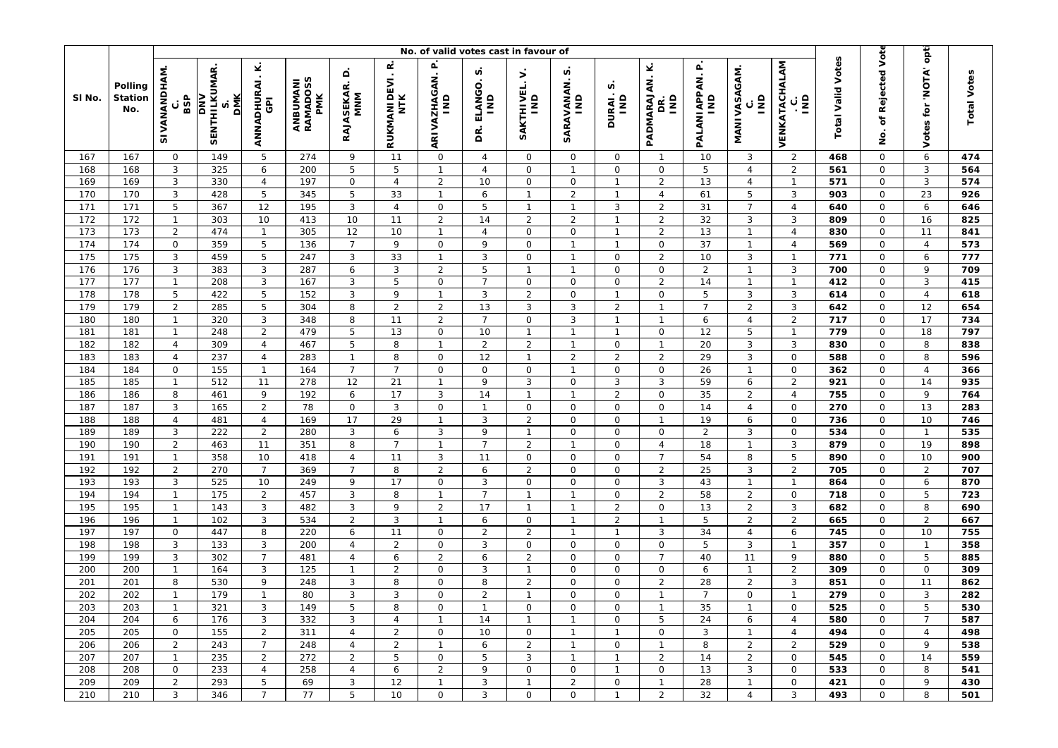|                        |                                  | No. of valid votes cast in favour of |                                                 |                                              |                             |                               |                                      |                                       |                                               |                                   |                                   |                             |                                |                                 |                                         |                                               | opt                      |                            |                        |                    |
|------------------------|----------------------------------|--------------------------------------|-------------------------------------------------|----------------------------------------------|-----------------------------|-------------------------------|--------------------------------------|---------------------------------------|-----------------------------------------------|-----------------------------------|-----------------------------------|-----------------------------|--------------------------------|---------------------------------|-----------------------------------------|-----------------------------------------------|--------------------------|----------------------------|------------------------|--------------------|
| SI No.                 | Polling<br><b>Station</b><br>No. | SIVANANDHAM<br>BSP<br>с              | <b>SENTHILKUMAR</b><br><b>DMK</b><br><b>NNO</b> | ⊻<br>$\cdot$<br>ANNADHURAI<br>$\overline{6}$ | ANBUMANI<br>RAMADOSS<br>PMK | ≏<br><b>RAJASEKAR.</b><br>MNM | œ<br>$\bullet$<br>RUKMANIDEVI<br>NTK | ARIVAZHAGAN. P<br>IND                 | n<br>ELANGO<br>$\overline{\mathsf{s}}$<br>DR. | $\mathbf{r}$<br>SAKTHIVEL.<br>IND | n<br>SARAVANAN.<br>$\overline{a}$ | n<br>DURAI.;<br>IND         | Ý<br>PADMARAJAN.<br>āNI<br>g   | PALANIAPPAN. P<br>$\frac{1}{2}$ | MANIVASAGAM.<br>$\overline{\mathsf{s}}$ | VENKATACHALAM<br>$\overline{\mathsf{s}}$<br>ن | <b>Total Valid Votes</b> | of Rejected Vote<br>g      | 'NOTA'<br>tor<br>Votes | <b>Total Votes</b> |
| 167                    | 167                              | $\mathsf O$                          | 149                                             | 5                                            | 274                         | 9                             | 11                                   | $\mathsf{O}$                          | $\overline{4}$                                | $\mathbf 0$                       | 0                                 | $\mathbf 0$                 | $\mathbf 1$                    | 10                              | 3                                       | $\overline{2}$                                | 468                      | $\mathbf 0$                | $\boldsymbol{6}$       | 474                |
| 168                    | 168                              | 3                                    | 325                                             | 6                                            | 200                         | 5                             | 5                                    | $\mathbf{1}$                          | $\overline{4}$                                | 0                                 | $\mathbf{1}$                      | $\mathbf 0$                 | $\mathsf O$                    | 5                               | $\overline{4}$                          | $\overline{2}$                                | 561                      | $\mathsf O$                | 3                      | 564                |
| 169                    | 169                              | $\mathsf 3$                          | 330                                             | $\sqrt{4}$                                   | 197                         | $\mathbf 0$                   | $\overline{4}$                       | $\overline{2}$                        | 10                                            | 0                                 | 0                                 | $\mathbf{1}$                | $\overline{2}$                 | 13                              | $\overline{4}$                          | $\overline{1}$                                | 571                      | $\mathbf 0$                | 3                      | 574                |
| 170                    | 170                              | 3                                    | 428                                             | 5                                            | 345                         | 5                             | 33                                   | $\mathbf{1}$                          | 6                                             | $\mathbf{1}$                      | $\overline{2}$                    | $\mathbf{1}$                | $\overline{4}$                 | 61                              | 5                                       | 3                                             | 903                      | 0                          | 23                     | 926                |
| 171                    | 171                              | $\mathbf 5$                          | 367                                             | 12                                           | 195                         | 3                             | $\overline{4}$                       | $\mathsf O$                           | 5                                             | $\overline{1}$                    | $\overline{1}$                    | 3                           | $\overline{2}$                 | 31                              | $\overline{7}$                          | $\overline{4}$                                | 640                      | $\mathsf O$                | 6                      | 646                |
| 172                    | 172                              | $\mathbf{1}$                         | 303                                             | 10                                           | 413                         | 10                            | 11                                   | $\overline{2}$                        | 14                                            | $\overline{2}$                    | $\overline{2}$                    | $\mathbf{1}$                | $\overline{2}$                 | 32                              | 3                                       | 3                                             | 809                      | $\mathbf 0$                | 16                     | 825                |
| 173                    | 173                              | $\overline{2}$                       | 474                                             | $\mathbf{1}$                                 | 305                         | 12                            | 10                                   | $\mathbf{1}$                          | $\overline{4}$                                | 0                                 | 0                                 | $\mathbf{1}$                | $\overline{2}$                 | 13                              | $\mathbf{1}$                            | $\overline{4}$                                | 830                      | 0                          | 11                     | 841                |
| 174<br>$\frac{1}{175}$ | 174<br>175                       | $\mathsf{O}$                         | 359<br>459                                      | $\mathbf 5$                                  | 136<br>247                  | $\overline{7}$                | 9<br>33                              | $\mathsf{O}\xspace$<br>$\overline{1}$ | 9<br>3                                        | 0<br>$\circ$                      | $\overline{1}$<br>$\mathbf{1}$    | $\mathbf{1}$<br>$\mathbf 0$ | $\mathsf{O}$<br>$\overline{2}$ | 37<br>10                        | $\mathbf{1}$<br>3                       | $\overline{4}$<br>$\mathbf{1}$                | 569<br>771               | $\mathsf O$<br>$\mathbf 0$ | $\overline{4}$         | 573<br>777         |
| 176                    | 176                              | 3<br>3                               |                                                 | 5<br>$\mathbf{3}$                            | 287                         | 3                             | 3                                    | $\overline{2}$                        | 5                                             | $\overline{1}$                    | $\mathbf{1}$                      | 0                           | $\mathsf{O}\xspace$            | $\overline{2}$                  | $\mathbf{1}$                            | 3                                             |                          | 0                          | 6<br>9                 |                    |
| 177                    | 177                              | $\mathbf{1}$                         | 383<br>208                                      | $\mathbf{3}$                                 | 167                         | 6<br>3                        | 5                                    | $\mathsf O$                           | $\overline{7}$                                | 0                                 | 0                                 | $\mathbf 0$                 | $\overline{2}$                 | 14                              | $\mathbf{1}$                            | $\mathbf{1}$                                  | 700<br>412               | $\mathsf O$                | 3                      | 709<br>415         |
| 178                    | 178                              | 5                                    | 422                                             | 5                                            | 152                         | 3                             | 9                                    | $\overline{1}$                        | 3                                             | $\overline{2}$                    | 0                                 | $\mathbf{1}$                | $\mathsf O$                    | 5                               | 3                                       | 3                                             | 614                      | $\mathbf 0$                | $\overline{4}$         | 618                |
| 179                    | 179                              | $\overline{2}$                       | 285                                             | 5                                            | 304                         | 8                             | $\overline{2}$                       | $\overline{2}$                        | 13                                            | 3                                 | 3                                 | $\overline{2}$              | $\mathbf{1}$                   | $\overline{7}$                  | $\overline{2}$                          | 3                                             | 642                      | $\mathsf{O}$               | 12                     | 654                |
| 180                    | 180                              | $\mathbf{1}$                         | 320                                             | $\ensuremath{\mathsf{3}}$                    | 348                         | 8                             | 11                                   | $\overline{2}$                        | $\overline{7}$                                | 0                                 | 3                                 | $\mathbf{1}$                | $\mathbf{1}$                   | 6                               | $\overline{4}$                          | $\overline{2}$                                | 717                      | $\mathsf O$                | 17                     | 734                |
| 181                    | 181                              | $\mathbf{1}$                         | 248                                             | $\overline{2}$                               | 479                         | 5                             | 13                                   | $\mathsf O$                           | 10                                            | $\mathbf{1}$                      | $\mathbf{1}$                      | $\mathbf{1}$                | $\mathsf{O}$                   | 12                              | 5                                       | $\mathbf{1}$                                  | 779                      | $\mathbf 0$                | 18                     | 797                |
| 182                    | 182                              | $\overline{4}$                       | 309                                             | $\overline{4}$                               | 467                         | 5                             | 8                                    | $\mathbf{1}$                          | $\overline{2}$                                | $\overline{2}$                    | $\mathbf{1}$                      | $\mathsf O$                 | $\mathbf{1}$                   | 20                              | 3                                       | 3                                             | 830                      | 0                          | 8                      | 838                |
| 183                    | 183                              | $\overline{4}$                       | 237                                             | $\overline{4}$                               | 283                         | $\mathbf{1}$                  | 8                                    | $\mathsf{O}$                          | 12                                            | $\overline{1}$                    | $\overline{2}$                    | $\overline{2}$              | $\overline{2}$                 | 29                              | 3                                       | $\mathbf 0$                                   | 588                      | $\mathsf O$                | 8                      | 596                |
| 184                    | 184                              | $\mathsf O$                          | 155                                             | $\mathbf{1}$                                 | 164                         | $\overline{7}$                | $\overline{7}$                       | $\mathsf{O}\xspace$                   | $\mathsf{O}\xspace$                           | $\mathsf{O}\xspace$               | $\mathbf{1}$                      | $\mathbf 0$                 | $\mathsf{O}\xspace$            | 26                              | $\mathbf{1}$                            | $\mathsf{O}$                                  | 362                      | $\mathbf 0$                | $\overline{4}$         | 366                |
| 185                    | 185                              | $\mathbf{1}$                         | 512                                             | 11                                           | 278                         | 12                            | 21                                   | $\mathbf{1}$                          | 9                                             | 3                                 | 0                                 | $\sqrt{3}$                  | $\sqrt{3}$                     | 59                              | 6                                       | $\overline{2}$                                | 921                      | 0                          | 14                     | 935                |
| 186                    | 186                              | $\,8\,$                              | 461                                             | 9                                            | 192                         | 6                             | 17                                   | $\mathbf{3}$                          | 14                                            | $\overline{1}$                    | $\mathbf{1}$                      | $\overline{2}$              | $\mathsf{O}\xspace$            | 35                              | $\overline{2}$                          | $\overline{4}$                                | 755                      | $\mathsf O$                | 9                      | 764                |
| 187                    | 187                              | 3                                    | 165                                             | $\overline{2}$                               | 78                          | $\mathbf 0$                   | 3                                    | $\mathsf O$                           | $\mathbf{1}$                                  | $\mathbf 0$                       | 0                                 | 0                           | $\mathsf O$                    | 14                              | $\overline{4}$                          | $\mathsf{O}$                                  | 270                      | 0                          | 13                     | 283                |
| 188                    | 188                              | $\overline{4}$                       | 481                                             | $\overline{4}$                               | 169                         | 17                            | 29                                   | $\mathbf{1}$                          | 3                                             | $\overline{2}$                    | 0                                 | $\mathsf{O}$                | $\mathbf{1}$                   | 19                              | 6                                       | $\mathbf 0$                                   | 736                      | $\mathsf O$                | 10                     | 746                |
| 189                    | 189                              | $\mathbf{3}$                         | 222                                             | $\overline{2}$                               | 280                         | 3                             | 6                                    | 3                                     | 9                                             | $\overline{1}$                    | 0                                 | $\mathsf{O}$                | $\mathsf{O}\xspace$            | $\overline{2}$                  | 3                                       | $\mathbf 0$                                   | 534                      | 0                          | $\overline{1}$         | 535                |
| 190                    | 190                              | $\overline{2}$                       | 463                                             | 11                                           | 351                         | 8                             | $\overline{7}$                       | $\mathbf{1}$                          | $\overline{7}$                                | $\overline{2}$                    | $\mathbf{1}$                      | 0                           | $\overline{4}$                 | 18                              | $\mathbf{1}$                            | 3                                             | 879                      | 0                          | 19                     | 898                |
| 191                    | 191                              | $\mathbf{1}$                         | 358                                             | 10                                           | 418                         | $\overline{4}$                | 11                                   | $\mathbf{3}$                          | 11                                            | 0                                 | 0                                 | $\mathbf 0$                 | $\overline{7}$                 | 54                              | 8                                       | 5                                             | 890                      | $\mathsf{O}$               | 10                     | 900                |
| 192                    | 192                              | $\overline{2}$                       | 270                                             | $\overline{7}$                               | 369                         | $\overline{7}$                | 8                                    | $\sqrt{2}$                            | 6                                             | $\overline{2}$                    | 0                                 | $\mathbf 0$                 | $\overline{2}$                 | 25                              | 3                                       | $\overline{2}$                                | 705                      | $\mathbf 0$                | 2                      | 707                |
| 193                    | 193                              | 3                                    | 525                                             | 10                                           | 249                         | 9                             | 17                                   | $\mathsf O$                           | 3                                             | $\mathbf 0$                       | 0                                 | 0                           | 3                              | 43                              | $\mathbf{1}$                            | $\mathbf{1}$                                  | 864                      | 0                          | 6                      | 870                |
| 194                    | 194                              | $\mathbf{1}$                         | 175                                             | $\overline{2}$                               | 457                         | 3                             | 8                                    | $\overline{1}$                        | $\overline{7}$                                | $\mathbf{1}$                      | $\overline{1}$                    | $\mathbf 0$                 | $\sqrt{2}$                     | 58                              | $\overline{2}$                          | $\mathbf 0$                                   | 718                      | $\mathbf 0$                | 5                      | 723                |
| 195                    | 195                              | $\mathbf{1}$                         | 143                                             | $\ensuremath{\mathsf{3}}$                    | 482                         | 3                             | 9                                    | $\sqrt{2}$                            | 17                                            | $\overline{1}$                    | $\mathbf{1}$                      | $\overline{2}$              | $\mathsf{O}\xspace$            | 13                              | $\overline{2}$                          | 3                                             | 682                      | 0                          | 8                      | 690                |
| 196                    | 196                              | $\mathbf{1}$                         | 102                                             | $\mathbf{3}$                                 | 534                         | 2                             | 3                                    | $\mathbf{1}$                          | 6                                             | $\mathsf{O}\xspace$               | $\overline{1}$                    | $\overline{2}$              | $\mathbf{1}$                   | 5                               | 2                                       | $\overline{2}$                                | 665                      | $\mathsf O$                | 2                      | 667                |
| 197                    | 197                              | $\mathsf O$                          | 447                                             | 8                                            | 220                         | 6                             | 11                                   | $\mathsf O$                           | $\overline{2}$                                | $\overline{2}$                    | $\mathbf{1}$                      | $\mathbf{1}$                | $\ensuremath{\mathsf{3}}$      | 34                              | $\overline{4}$                          | 6                                             | 745                      | $\mathbf 0$                | 10                     | 755                |
| 198                    | 198                              | 3                                    | 133                                             | $\mathbf{3}$                                 | 200                         | $\overline{4}$                | $\overline{2}$                       | $\mathsf{O}\xspace$                   | 3                                             | 0                                 | 0                                 | $\mathsf{O}$                | $\mathsf{O}\xspace$            | 5                               | 3                                       | $\mathbf{1}$                                  | 357                      | $\mathsf O$                | $\mathbf{1}$           | 358                |
| 199                    | 199                              | 3                                    | 302                                             | $\overline{7}$                               | 481                         | $\overline{4}$                | 6                                    | $\overline{2}$                        | 6                                             | $\overline{2}$                    | 0                                 | $\mathbf 0$                 | $\overline{7}$                 | 40                              | 11                                      | 9                                             | 880                      | $\mathsf O$                | 5                      | 885                |
| 200                    | 200                              | $\mathbf{1}$                         | 164                                             | $\mathbf{3}$                                 | 125                         | $\mathbf{1}$                  | $\overline{2}$                       | $\mathsf O$                           | 3                                             | $\overline{1}$                    | 0                                 | $\mathbf 0$                 | $\mathsf{O}\xspace$            | 6                               | $\mathbf{1}$                            | $\overline{2}$                                | 309                      | $\mathbf 0$                | $\mathbf 0$            | 309                |
| 201                    | 201                              | 8                                    | 530                                             | 9                                            | 248                         | 3                             | 8                                    | $\mathsf{O}\xspace$                   | 8                                             | $\overline{2}$                    | 0                                 | 0                           | $\sqrt{2}$                     | 28                              | $\overline{2}$                          | 3                                             | 851                      | 0                          | 11                     | 862                |
| 202                    | 202                              | $\mathbf{1}$                         | 179                                             | $\mathbf{1}$                                 | 80                          | 3                             | 3                                    | $\mathbf 0$                           | $\overline{a}$                                | $\mathbf{1}$                      | 0                                 | $\mathbf 0$                 | $\mathbf{1}$                   | $\overline{7}$                  | $\mathbf 0$                             | $\mathbf{1}$                                  | 279                      | $\mathsf O$                | 3                      | 282                |
| 203                    | 203                              | $\mathbf{1}$                         | 321                                             | 3                                            | 149                         | 5                             | 8                                    | $\mathsf O$                           | $\mathbf{1}$                                  | 0                                 | 0                                 | $\mathsf{O}\xspace$         | $\mathbf{1}$                   | 35                              | $\mathbf{1}$                            | 0                                             | 525                      | $\mathsf O$                | 5                      | 530                |
| 204                    | 204                              | 6                                    | 176                                             | 3                                            | 332                         | 3                             | 4                                    | $\mathbf{1}$                          | 14                                            | $\overline{1}$                    | $\mathbf{1}$                      | 0                           | 5                              | 24                              | 6                                       | 4                                             | 580                      | 0                          | $\overline{7}$         | 587                |
| 205                    | 205                              | 0                                    | 155                                             | $\overline{2}$                               | 311                         | 4                             | $\overline{2}$                       | $\mathbf{O}$                          | 10                                            | 0                                 | $\mathbf{1}$                      | $\mathbf{1}$                | $\mathsf{O}$                   | 3                               | $\mathbf{1}$                            | 4                                             | 494                      | $\mathsf{O}$               | 4                      | 498                |
| 206                    | 206                              | $\overline{2}$                       | 243                                             | $\overline{7}$                               | 248                         | $\overline{4}$                | $\overline{2}$                       | $\mathbf{1}$                          | 6                                             | $\overline{2}$                    | $\mathbf{1}$                      | $\mathbf 0$                 | $\mathbf{1}$                   | 8                               | 2                                       | $\overline{2}$                                | 529                      | $\mathbf 0$                | 9                      | 538                |
| 207                    | 207                              | $\mathbf{1}$                         | 235                                             | $\overline{2}$                               | 272                         | $\overline{2}$                | 5                                    | 0                                     | 5                                             | 3                                 | $\mathbf{1}$                      | $\mathbf{1}$                | $\overline{2}$                 | 14                              | $\overline{2}$                          | 0                                             | 545                      | 0                          | 14                     | 559                |
| 208                    | 208                              | 0                                    | 233                                             | $\overline{4}$                               | 258                         | 4                             | 6                                    | $\overline{2}$                        | 9                                             | $\mathbf 0$                       | 0                                 | $\mathbf{1}$                | 0                              | 13                              | 3                                       | $\mathsf{O}$                                  | 533                      | 0                          | 8                      | 541                |
| 209                    | 209                              | $\overline{2}$                       | 293                                             | 5                                            | 69                          | 3                             | 12                                   | $\mathbf{1}$                          | 3                                             | $\overline{1}$                    | $\overline{2}$                    | $\mathsf{O}$                | $\mathbf{1}$                   | 28                              | $\mathbf{1}$                            | $\mathsf O$                                   | 421                      | 0                          | 9                      | 430                |
| 210                    | 210                              | 3                                    | 346                                             | $\overline{7}$                               | 77                          | 5                             | 10                                   | 0                                     | 3                                             | 0                                 | 0                                 | $\mathbf{1}$                | $\overline{2}$                 | 32                              | $\overline{4}$                          | 3                                             | 493                      | 0                          | 8                      | 501                |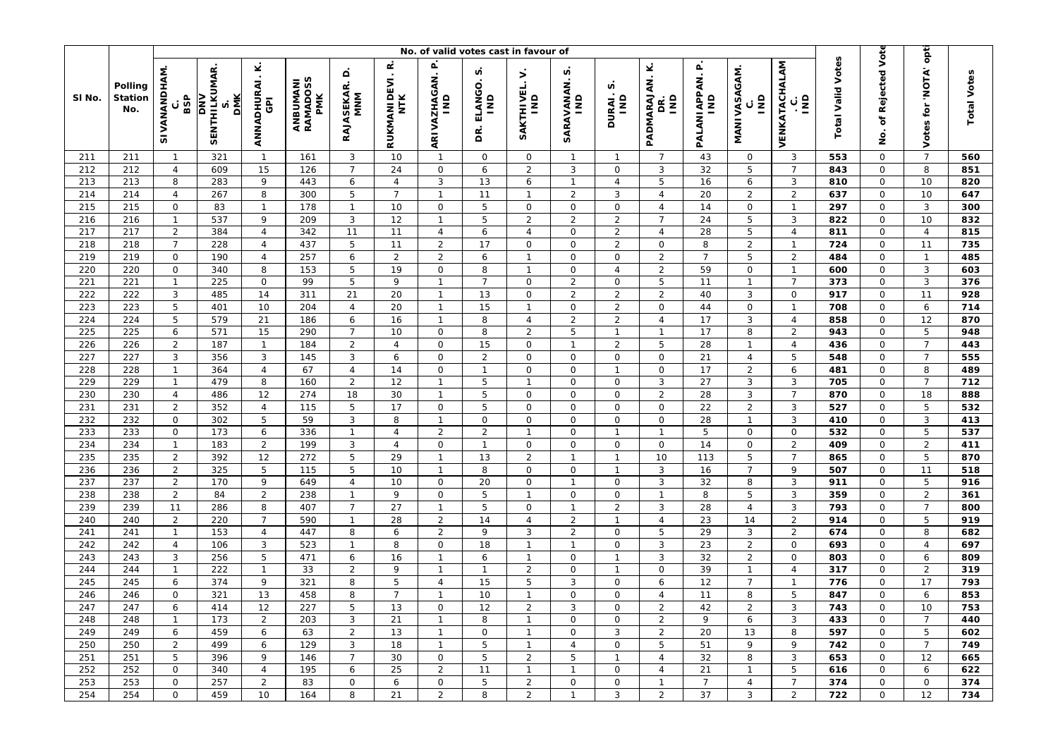|            |                                  | No. of valid votes cast in favour of |                                                 |                                              |                             |                               |                                    |                                  |                         |                                       |                                 |                               |                                       |                                 |                                         |                                               |                          | opt                        |                        |                    |
|------------|----------------------------------|--------------------------------------|-------------------------------------------------|----------------------------------------------|-----------------------------|-------------------------------|------------------------------------|----------------------------------|-------------------------|---------------------------------------|---------------------------------|-------------------------------|---------------------------------------|---------------------------------|-----------------------------------------|-----------------------------------------------|--------------------------|----------------------------|------------------------|--------------------|
| SI No.     | Polling<br><b>Station</b><br>No. | SIVANANDHAM<br>BSP<br>с              | <b>SENTHILKUMAR</b><br><b>DMK</b><br><b>NNO</b> | ⊻<br>$\cdot$<br>ANNADHURAI<br>$\overline{6}$ | ANBUMANI<br>RAMADOSS<br>PMK | ۵<br><b>RAJASEKAR.</b><br>MNM | œ<br>$\cdot$<br>RUKMANIDEVI<br>NTK | ARIVAZHAGAN. P<br>IND            | n<br>ELANGO<br>Ξ<br>ΒŔ. | $\mathbf{r}$<br>SAKTHIVEL.<br>IND     | n<br>SARAVANAN.<br>$\mathsf{u}$ | n<br>DURAI.;<br>IND           | Ý<br>PADMARAJAN.<br>āNI<br>g          | PALANIAPPAN. P<br>$\frac{1}{2}$ | MANIVASAGAM.<br>$\overline{\mathsf{s}}$ | VENKATACHALAM<br>$\overline{\mathsf{s}}$<br>ن | <b>Total Valid Votes</b> | of Rejected Vote<br>g      | 'NOTA'<br>tor<br>Votes | <b>Total Votes</b> |
| 211        | 211                              | $\mathbf{1}$                         | 321                                             | $\mathbf{1}$                                 | 161                         | 3                             | 10                                 | $\mathbf{1}$                     | $\mathsf{O}$            | $\mathbf 0$                           | $\mathbf{1}$                    | $\mathbf{1}$                  | $\overline{7}$                        | 43                              | $\mathsf{O}\xspace$                     | 3                                             | 553                      | $\mathbf 0$                | $\overline{7}$         | 560                |
| 212        | 212                              | $\overline{4}$                       | 609                                             | 15                                           | 126                         | $\overline{7}$                | 24                                 | $\mathsf{O}\xspace$              | 6                       | $\overline{2}$                        | 3                               | $\mathbf 0$                   | 3                                     | 32                              | 5                                       | $\overline{7}$                                | 843                      | $\mathsf O$                | 8                      | 851                |
| 213        | 213                              | 8                                    | 283                                             | 9                                            | 443                         | 6                             | 4                                  | $\mathbf{3}$                     | 13                      | 6                                     | $\mathbf{1}$                    | $\overline{4}$                | 5                                     | 16                              | 6                                       | 3                                             | 810                      | 0                          | 10                     | 820                |
| 214        | 214                              | $\overline{4}$                       | 267                                             | 8                                            | 300                         | 5                             | $\overline{7}$                     | $\mathbf{1}$                     | 11                      | $\overline{1}$                        | $\overline{2}$                  | 3                             | $\overline{4}$                        | 20                              | $\overline{2}$                          | $\overline{2}$                                | 637                      | 0                          | 10                     | 647                |
| 215        | 215                              | $\mathsf{O}$                         | 83                                              | $\mathbf{1}$                                 | 178                         | $\overline{1}$                | 10                                 | $\mathsf O$                      | 5                       | $\mathsf{O}\xspace$                   | 0                               | $\mathbf 0$                   | $\overline{4}$                        | 14                              | $\mathsf{O}\xspace$                     | $\mathbf{1}$                                  | 297                      | $\mathsf O$                | 3                      | 300                |
| 216        | 216                              | $\mathbf{1}$                         | 537                                             | 9                                            | 209                         | 3                             | 12                                 | $\overline{1}$                   | 5                       | $\overline{2}$                        | $\overline{2}$                  | $\overline{2}$                | $\overline{7}$                        | 24                              | 5                                       | 3                                             | 822                      | $\mathbf 0$                | 10                     | 832                |
| 217        | 217                              | $\overline{2}$                       | 384                                             | $\overline{4}$                               | 342                         | 11                            | 11                                 | $\overline{4}$                   | 6                       | $\overline{4}$                        | 0                               | $\overline{2}$                | $\overline{4}$                        | 28                              | 5                                       | $\overline{4}$                                | 811                      | 0                          | $\overline{4}$         | 815                |
| 218<br>219 | 218<br>219                       | $\overline{7}$<br>$\mathsf{O}$       | 228<br>190                                      | $\overline{4}$                               | 437<br>257                  | 5                             | 11                                 | $\overline{2}$<br>$\overline{2}$ | 17                      | $\mathsf{O}\xspace$<br>$\overline{1}$ | 0<br>0                          | $\overline{2}$<br>$\mathbf 0$ | $\mathsf{O}\xspace$<br>$\overline{2}$ | 8<br>$\overline{7}$             | $\overline{2}$<br>5                     | $\mathbf{1}$                                  | 724<br>484               | $\mathsf O$<br>$\mathbf 0$ | 11<br>$\mathbf{1}$     | 735<br>485         |
| 220        |                                  |                                      |                                                 | $\overline{4}$<br>8                          |                             | 6<br>5                        | $\overline{2}$<br>19               | $\mathsf O$                      | 6<br>8                  | $\overline{1}$                        | 0                               | $\overline{4}$                |                                       | 59                              | $\mathbf 0$                             | $\overline{2}$<br>$\mathbf{1}$                |                          | 0                          | 3                      |                    |
| 221        | 220<br>221                       | 0<br>$\mathbf{1}$                    | 340<br>225                                      | $\mathsf O$                                  | 153<br>99                   | 5                             | 9                                  | $\mathbf{1}$                     | $\overline{7}$          | 0                                     | $\overline{2}$                  | $\mathsf O$                   | $\sqrt{2}$<br>5                       | 11                              | $\mathbf{1}$                            | $\overline{7}$                                | 600<br>373               | $\mathsf O$                | 3                      | 603<br>376         |
| 222        | 222                              | 3                                    | 485                                             | 14                                           | 311                         | 21                            | 20                                 | $\overline{1}$                   | 13                      | 0                                     | $\overline{2}$                  | $\overline{2}$                | $\overline{2}$                        | 40                              | 3                                       | $\mathbf 0$                                   | 917                      | $\mathbf 0$                | 11                     | 928                |
| 223        | 223                              | $\mathbf 5$                          | 401                                             | 10                                           | 204                         | $\overline{4}$                | 20                                 | $\mathbf{1}$                     | 15                      | $\overline{1}$                        | 0                               | $\overline{2}$                | $\mathsf{O}$                          | 44                              | $\mathsf 0$                             | $\overline{1}$                                | 708                      | 0                          | 6                      | 714                |
| 224        | 224                              | 5                                    | 579                                             | 21                                           | 186                         | 6                             | 16                                 | $\mathbf{1}$                     | 8                       | 4                                     | $\overline{2}$                  | $\overline{2}$                | $\sqrt{4}$                            | 17                              | 3                                       | $\overline{4}$                                | 858                      | $\mathsf O$                | 12                     | 870                |
| 225        | 225                              | 6                                    | 571                                             | 15                                           | 290                         | $\overline{7}$                | 10                                 | $\mathsf O$                      | 8                       | $\overline{2}$                        | 5                               | $\mathbf{1}$                  | $\mathbf{1}$                          | 17                              | 8                                       | $\overline{2}$                                | 943                      | $\mathbf 0$                | 5                      | 948                |
| 226        | 226                              | $\overline{2}$                       | 187                                             | $\mathbf{1}$                                 | 184                         | $\overline{2}$                | $\overline{4}$                     | $\mathbf 0$                      | 15                      | 0                                     | $\mathbf{1}$                    | $\overline{2}$                | 5                                     | 28                              | $\mathbf{1}$                            | $\overline{4}$                                | 436                      | 0                          | $\overline{7}$         | 443                |
| 227        | 227                              | 3                                    | 356                                             | $\mathbf{3}$                                 | 145                         | 3                             | 6                                  | $\mathsf O$                      | $\overline{2}$          | 0                                     | 0                               | $\mathsf O$                   | $\mathsf{O}\xspace$                   | 21                              | $\overline{4}$                          | 5                                             | 548                      | $\mathsf O$                | $\overline{7}$         | 555                |
| 228        | 228                              | $\mathbf{1}$                         | 364                                             | $\overline{4}$                               | 67                          | $\overline{4}$                | 14                                 | $\mathsf{O}\xspace$              | $\mathbf{1}$            | 0                                     | 0                               | $\mathbf{1}$                  | $\mathsf{O}$                          | 17                              | $\overline{2}$                          | 6                                             | 481                      | $\mathbf 0$                | 8                      | 489                |
| 229        | 229                              | $\mathbf{1}$                         | 479                                             | 8                                            | 160                         | 2                             | 12                                 | $\mathbf{1}$                     | 5                       | $\overline{1}$                        | 0                               | $\mathsf O$                   | $\sqrt{3}$                            | 27                              | $\mathbf{3}$                            | $\mathbf{3}$                                  | 705                      | 0                          | $\overline{7}$         | 712                |
| 230        | 230                              | $\overline{4}$                       | 486                                             | 12                                           | 274                         | 18                            | 30                                 | $\mathbf{1}$                     | 5                       | 0                                     | 0                               | $\mathbf 0$                   | $\overline{2}$                        | 28                              | $\mathbf{3}$                            | $\overline{7}$                                | 870                      | $\mathsf O$                | 18                     | 888                |
| 231        | 231                              | $\overline{2}$                       | 352                                             | $\overline{4}$                               | 115                         | 5                             | 17                                 | $\mathsf{O}$                     | 5                       | $\mathbf 0$                           | 0                               | 0                             | $\mathsf O$                           | 22                              | $\overline{2}$                          | 3                                             | 527                      | 0                          | 5                      | 532                |
| 232        | 232                              | $\mathsf{O}$                         | 302                                             | 5                                            | 59                          | 3                             | 8                                  | $\overline{1}$                   | $\mathsf{O}$            | 0                                     | 0                               | $\circ$                       | $\mathsf{O}$                          | 28                              | $\overline{1}$                          | 3                                             | 410                      | $\mathbf 0$                | 3                      | 413                |
| 233        | 233                              | $\mathsf O$                          | 173                                             | 6                                            | 336                         | $\mathbf{1}$                  | $\overline{4}$                     | $\overline{2}$                   | $\overline{a}$          | $\overline{1}$                        | 0                               | $\mathbf{1}$                  | $\mathbf{1}$                          | 5                               | $\mathsf 0$                             | $\mathbf 0$                                   | 532                      | 0                          | 5                      | 537                |
| 234        | 234                              | $\mathbf{1}$                         | 183                                             | $\overline{2}$                               | 199                         | 3                             | $\overline{4}$                     | $\mathsf O$                      | $\mathbf{1}$            | $\mathbf 0$                           | 0                               | $\mathbf 0$                   | $\mathsf O$                           | 14                              | $\mathbf 0$                             | $\overline{2}$                                | 409                      | 0                          | $\overline{2}$         | 411                |
| 235        | 235                              | $\overline{2}$                       | 392                                             | 12                                           | 272                         | 5                             | 29                                 | $\overline{1}$                   | 13                      | $\overline{2}$                        | $\mathbf{1}$                    | $\mathbf{1}$                  | 10                                    | 113                             | 5                                       | $\overline{7}$                                | 865                      | $\mathbf 0$                | 5                      | 870                |
| 236        | 236                              | $\overline{2}$                       | 325                                             | 5                                            | 115                         | 5                             | 10                                 | $\mathbf{1}$                     | 8                       | $\mathsf{O}$                          | 0                               | $\mathbf{1}$                  | $\sqrt{3}$                            | 16                              | $\overline{7}$                          | 9                                             | 507                      | $\mathbf 0$                | 11                     | 518                |
| 237        | 237                              | $\overline{2}$                       | 170                                             | 9                                            | 649                         | 4                             | 10                                 | $\mathsf O$                      | 20                      | 0                                     | $\mathbf{1}$                    | 0                             | 3                                     | 32                              | 8                                       | 3                                             | 911                      | 0                          | 5                      | 916                |
| 238        | 238                              | $\overline{2}$                       | 84                                              | $\overline{2}$                               | 238                         | $\mathbf{1}$                  | 9                                  | $\mathbf 0$                      | 5                       | $\mathbf{1}$                          | $\mathbf{O}$                    | $\mathbf 0$                   | $\mathbf{1}$                          | 8                               | 5                                       | $\mathbf{3}$                                  | 359                      | $\mathbf 0$                | $\overline{2}$         | 361                |
| 239        | 239                              | 11                                   | 286                                             | 8                                            | 407                         | $\overline{7}$                | 27                                 | $\mathbf{1}$                     | 5                       | $\mathsf{O}\xspace$                   | $\mathbf{1}$                    | $\overline{2}$                | 3                                     | 28                              | $\overline{4}$                          | 3                                             | 793                      | 0                          | $\overline{7}$         | 800                |
| 240        | 240                              | $\overline{2}$                       | 220                                             | $\overline{7}$                               | 590                         | $\mathbf{1}$                  | 28                                 | $\overline{2}$                   | 14                      | $\overline{4}$                        | $\overline{2}$                  | $\mathbf{1}$                  | $\overline{4}$                        | 23                              | 14                                      | $\overline{2}$                                | 914                      | $\mathsf O$                | 5                      | 919                |
| 241        | 241                              | $\mathbf{1}$                         | 153                                             | $\sqrt{4}$                                   | 447                         | 8                             | 6                                  | $\overline{2}$                   | 9                       | 3                                     | $\overline{2}$                  | $\mathbf 0$                   | 5                                     | 29                              | 3                                       | $\overline{2}$                                | 674                      | $\mathbf 0$                | 8                      | 682                |
| 242        | 242                              | $\overline{4}$                       | 106                                             | $\mathbf{3}$                                 | 523                         | $\mathbf{1}$                  | 8                                  | $\mathsf{O}\xspace$              | 18                      | $\mathbf{1}$                          | $\mathbf{1}$                    | $\mathsf O$                   | $\ensuremath{\mathsf{3}}$             | 23                              | $\overline{2}$                          | $\mathsf O$                                   | 693                      | $\mathsf O$                | $\overline{4}$         | 697                |
| 243        | 243                              | 3                                    | 256                                             | 5                                            | 471                         | 6                             | 16                                 | $\mathbf{1}$                     | 6                       | $\overline{1}$                        | 0                               | $\mathbf{1}$                  | $\sqrt{3}$                            | 32                              | 2                                       | $\mathsf{O}$                                  | 803                      | $\mathsf O$                | 6                      | 809                |
| 244        | 244                              | $\mathbf{1}$                         | 222                                             | $\mathbf{1}$                                 | 33                          | 2                             | 9                                  | $\mathbf{1}$                     | $\overline{1}$          | $\overline{2}$                        | 0                               | $\overline{1}$                | $\mathsf{O}$                          | 39                              | $\overline{1}$                          | $\overline{4}$                                | 317                      | $\mathbf 0$                | $\overline{2}$         | 319                |
| 245        | 245                              | 6                                    | 374                                             | 9                                            | 321                         | 8                             | 5                                  | $\overline{4}$                   | 15                      | 5                                     | 3                               | 0                             | 6                                     | 12                              | $\overline{7}$                          | $\mathbf{1}$                                  | 776                      | 0                          | 17                     | 793                |
| 246        | 246                              | $\mathsf O$                          | 321                                             | 13                                           | 458                         | 8                             | $\overline{7}$                     | $\mathbf{1}$                     | 10                      | $\overline{1}$                        | 0                               | $\mathbf 0$                   | $\overline{4}$                        | 11                              | 8                                       | $\sqrt{5}$                                    | 847                      | $\mathsf O$                | 6                      | 853                |
| 247        | 247                              | 6                                    | 414                                             | 12                                           | 227                         | 5                             | 13                                 | $\mathsf O$                      | 12                      | $\overline{c}$                        | $\mathbf{3}$                    | $\mathsf{O}\xspace$           | $\sqrt{2}$                            | 42                              | $\sqrt{2}$                              | $\mathbf{3}$                                  | $\overline{743}$         | $\mathsf O$                | $10$                   | 753                |
| 248        | 248                              | $\mathbf{1}$                         | 173                                             | $\overline{2}$                               | 203                         | 3                             | 21                                 | $\mathbf{1}$                     | 8                       | $\overline{1}$                        | 0                               | 0                             | $\overline{2}$                        | 9                               | 6                                       | 3                                             | 433                      | 0                          | $\overline{7}$         | 440                |
| 249        | 249                              | 6                                    | 459                                             | 6                                            | 63                          | $\overline{2}$                | 13                                 | $\mathbf{1}$                     | $\mathsf{O}$            | $\mathbf{1}$                          | 0                               | 3                             | $\overline{2}$                        | 20                              | 13                                      | 8                                             | 597                      | $\mathsf{O}$               | 5                      | 602                |
| 250        | 250                              | $\overline{2}$                       | 499                                             | 6                                            | 129                         | 3                             | 18                                 | $\mathbf{1}$                     | 5                       | $\overline{1}$                        | $\overline{4}$                  | $\mathbf 0$                   | 5                                     | 51                              | 9                                       | 9                                             | 742                      | $\mathbf 0$                | $\overline{7}$         | 749                |
| 251        | 251                              | 5                                    | 396                                             | 9                                            | 146                         | $\overline{7}$                | 30                                 | 0                                | 5                       | 2                                     | 5                               | $\mathbf{1}$                  | 4                                     | 32                              | 8                                       | 3                                             | 653                      | 0                          | 12                     | 665                |
| 252        | 252                              | 0                                    | 340                                             | $\overline{4}$                               | 195                         | 6<br>$\mathbf 0$              | 25                                 | $\overline{2}$<br>$\mathsf{O}$   | 11<br>5                 | $\overline{1}$                        | $\mathbf{1}$<br>0               | 0<br>$\mathbf 0$              | $\overline{4}$<br>$\mathbf{1}$        | 21<br>$\overline{7}$            | $\mathbf{1}$                            | 5<br>$\overline{7}$                           | 616                      | 0<br>$\mathbf{O}$          | 6<br>$\mathbf 0$       | 622<br>374         |
| 253        | 253                              | 0<br>$\mathsf{O}$                    | 257                                             | $\overline{2}$<br>10                         | 83                          | 8                             | 6                                  | $\overline{2}$                   |                         | $\overline{2}$                        | $\mathbf{1}$                    | 3                             |                                       | 37                              | $\overline{4}$<br>3                     | $\overline{2}$                                | 374<br>722               | $\mathsf{O}$               | 12                     |                    |
| 254        | 254                              |                                      | 459                                             |                                              | 164                         |                               | 21                                 |                                  | 8                       | $\overline{a}$                        |                                 |                               | $\overline{2}$                        |                                 |                                         |                                               |                          |                            |                        | 734                |